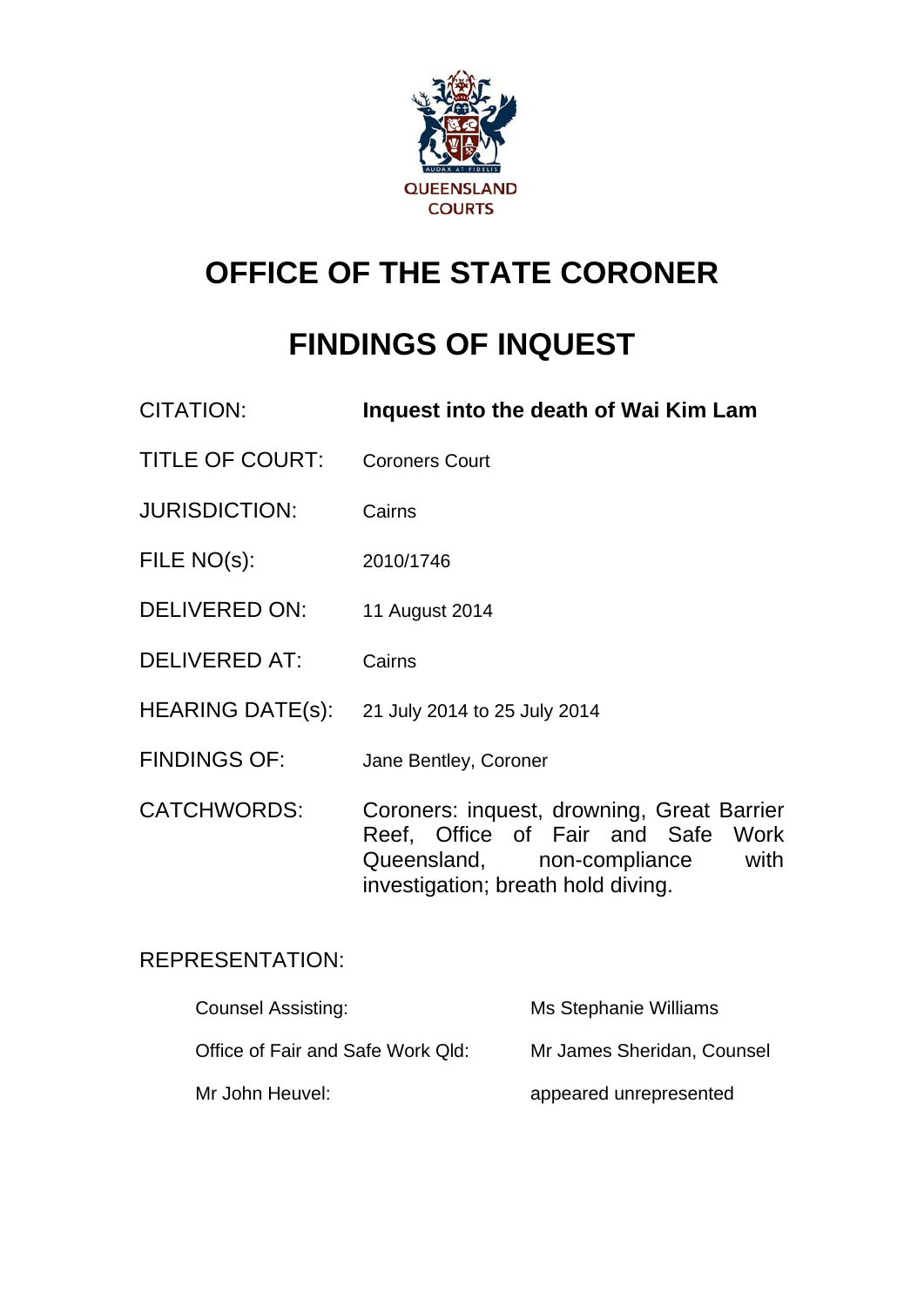

# **OFFICE OF THE STATE CORONER**

# **FINDINGS OF INQUEST**

- CITATION: **Inquest into the death of Wai Kim Lam**
- TITLE OF COURT: Coroners Court
- JURISDICTION: Cairns
- FILE NO(s): 2010/1746
- DELIVERED ON: 11 August 2014
- DELIVERED AT: Cairns
- HEARING DATE(s): 21 July 2014 to 25 July 2014
- FINDINGS OF: Jane Bentley, Coroner
- CATCHWORDS: Coroners: inquest, drowning, Great Barrier Reef, Office of Fair and Safe Work Queensland, non-compliance with investigation; breath hold diving.

# REPRESENTATION:

| <b>Counsel Assisting:</b>         | Ms Stephanie Williams      |
|-----------------------------------|----------------------------|
| Office of Fair and Safe Work Qld: | Mr James Sheridan, Counsel |
| Mr John Heuvel:                   | appeared unrepresented     |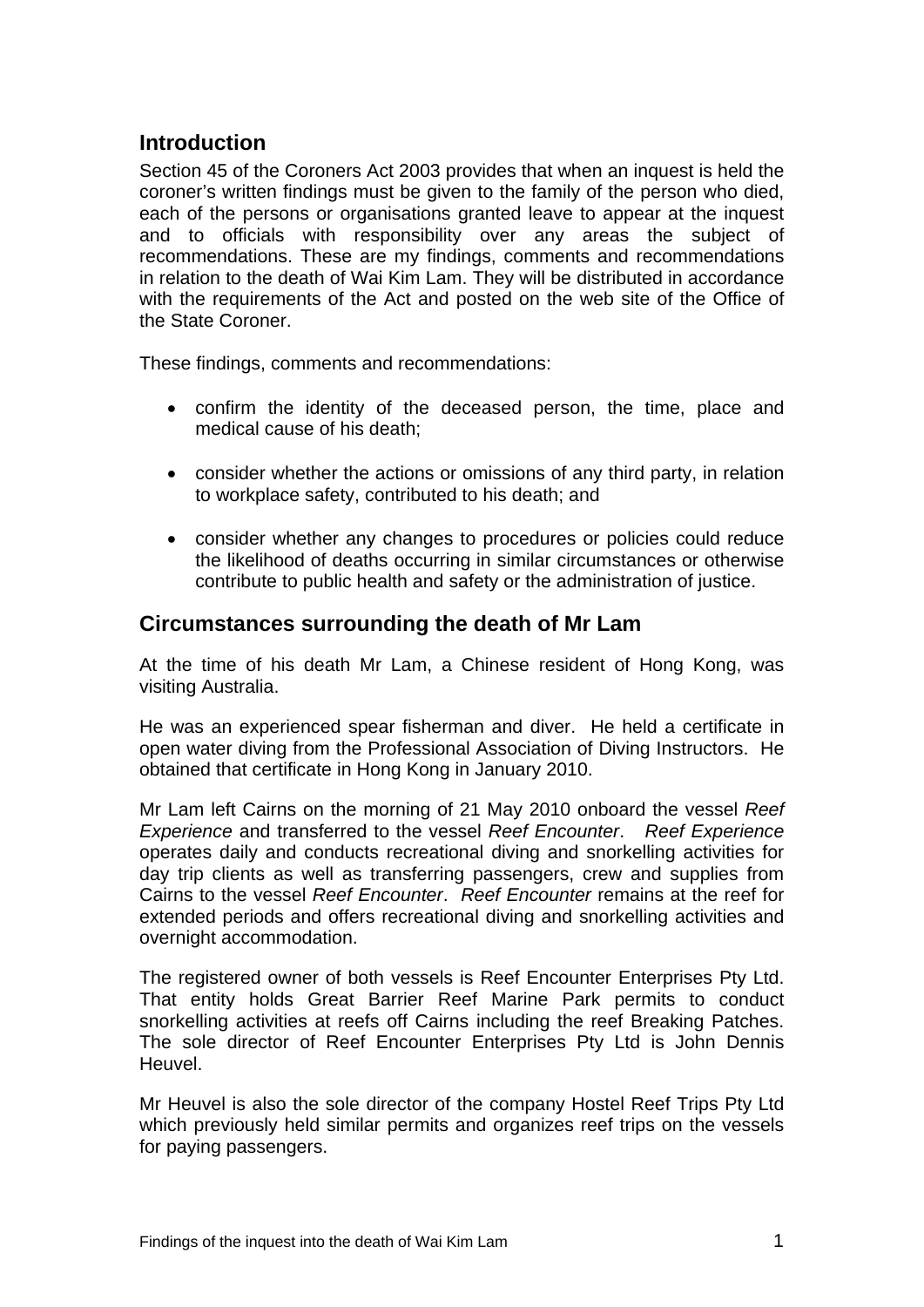# **Introduction**

Section 45 of the Coroners Act 2003 provides that when an inquest is held the coroner's written findings must be given to the family of the person who died, each of the persons or organisations granted leave to appear at the inquest and to officials with responsibility over any areas the subject of recommendations. These are my findings, comments and recommendations in relation to the death of Wai Kim Lam. They will be distributed in accordance with the requirements of the Act and posted on the web site of the Office of the State Coroner.

These findings, comments and recommendations:

- confirm the identity of the deceased person, the time, place and medical cause of his death;
- consider whether the actions or omissions of any third party, in relation to workplace safety, contributed to his death; and
- consider whether any changes to procedures or policies could reduce the likelihood of deaths occurring in similar circumstances or otherwise contribute to public health and safety or the administration of justice.

### **Circumstances surrounding the death of Mr Lam**

At the time of his death Mr Lam, a Chinese resident of Hong Kong, was visiting Australia.

He was an experienced spear fisherman and diver. He held a certificate in open water diving from the Professional Association of Diving Instructors. He obtained that certificate in Hong Kong in January 2010.

Mr Lam left Cairns on the morning of 21 May 2010 onboard the vessel *Reef Experience* and transferred to the vessel *Reef Encounter*. *Reef Experience* operates daily and conducts recreational diving and snorkelling activities for day trip clients as well as transferring passengers, crew and supplies from Cairns to the vessel *Reef Encounter*. *Reef Encounter* remains at the reef for extended periods and offers recreational diving and snorkelling activities and overnight accommodation.

The registered owner of both vessels is Reef Encounter Enterprises Pty Ltd. That entity holds Great Barrier Reef Marine Park permits to conduct snorkelling activities at reefs off Cairns including the reef Breaking Patches. The sole director of Reef Encounter Enterprises Pty Ltd is John Dennis Heuvel.

Mr Heuvel is also the sole director of the company Hostel Reef Trips Pty Ltd which previously held similar permits and organizes reef trips on the vessels for paying passengers.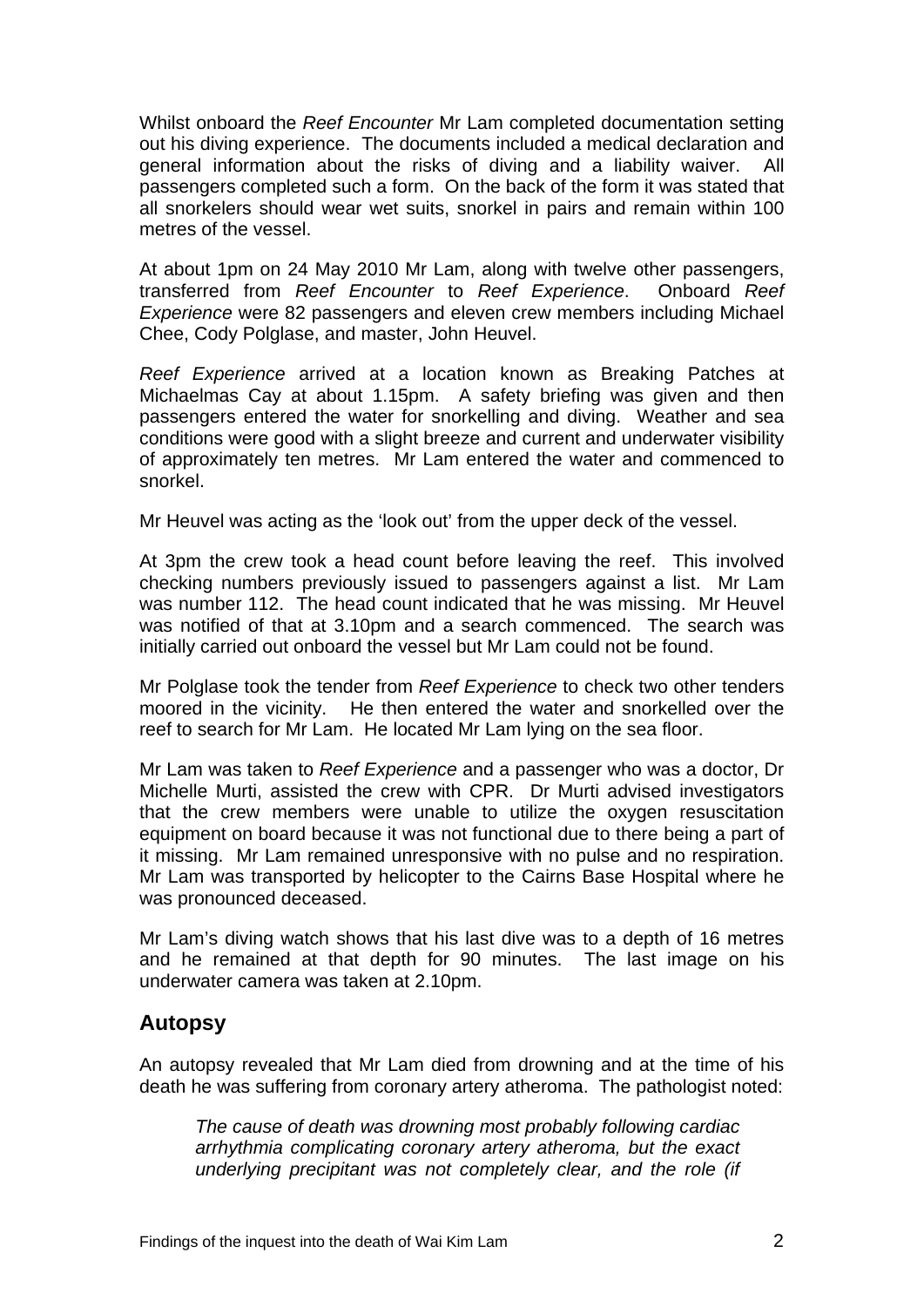Whilst onboard the *Reef Encounter* Mr Lam completed documentation setting out his diving experience. The documents included a medical declaration and general information about the risks of diving and a liability waiver. All passengers completed such a form. On the back of the form it was stated that all snorkelers should wear wet suits, snorkel in pairs and remain within 100 metres of the vessel.

At about 1pm on 24 May 2010 Mr Lam, along with twelve other passengers, transferred from *Reef Encounter* to *Reef Experience*. Onboard *Reef Experience* were 82 passengers and eleven crew members including Michael Chee, Cody Polglase, and master, John Heuvel.

*Reef Experience* arrived at a location known as Breaking Patches at Michaelmas Cay at about 1.15pm. A safety briefing was given and then passengers entered the water for snorkelling and diving. Weather and sea conditions were good with a slight breeze and current and underwater visibility of approximately ten metres. Mr Lam entered the water and commenced to snorkel.

Mr Heuvel was acting as the 'look out' from the upper deck of the vessel.

At 3pm the crew took a head count before leaving the reef. This involved checking numbers previously issued to passengers against a list. Mr Lam was number 112. The head count indicated that he was missing. Mr Heuvel was notified of that at 3.10pm and a search commenced. The search was initially carried out onboard the vessel but Mr Lam could not be found.

Mr Polglase took the tender from *Reef Experience* to check two other tenders moored in the vicinity. He then entered the water and snorkelled over the reef to search for Mr Lam. He located Mr Lam lying on the sea floor.

Mr Lam was taken to *Reef Experience* and a passenger who was a doctor, Dr Michelle Murti, assisted the crew with CPR. Dr Murti advised investigators that the crew members were unable to utilize the oxygen resuscitation equipment on board because it was not functional due to there being a part of it missing. Mr Lam remained unresponsive with no pulse and no respiration. Mr Lam was transported by helicopter to the Cairns Base Hospital where he was pronounced deceased.

Mr Lam's diving watch shows that his last dive was to a depth of 16 metres and he remained at that depth for 90 minutes. The last image on his underwater camera was taken at 2.10pm.

# **Autopsy**

An autopsy revealed that Mr Lam died from drowning and at the time of his death he was suffering from coronary artery atheroma. The pathologist noted:

*The cause of death was drowning most probably following cardiac arrhythmia complicating coronary artery atheroma, but the exact underlying precipitant was not completely clear, and the role (if*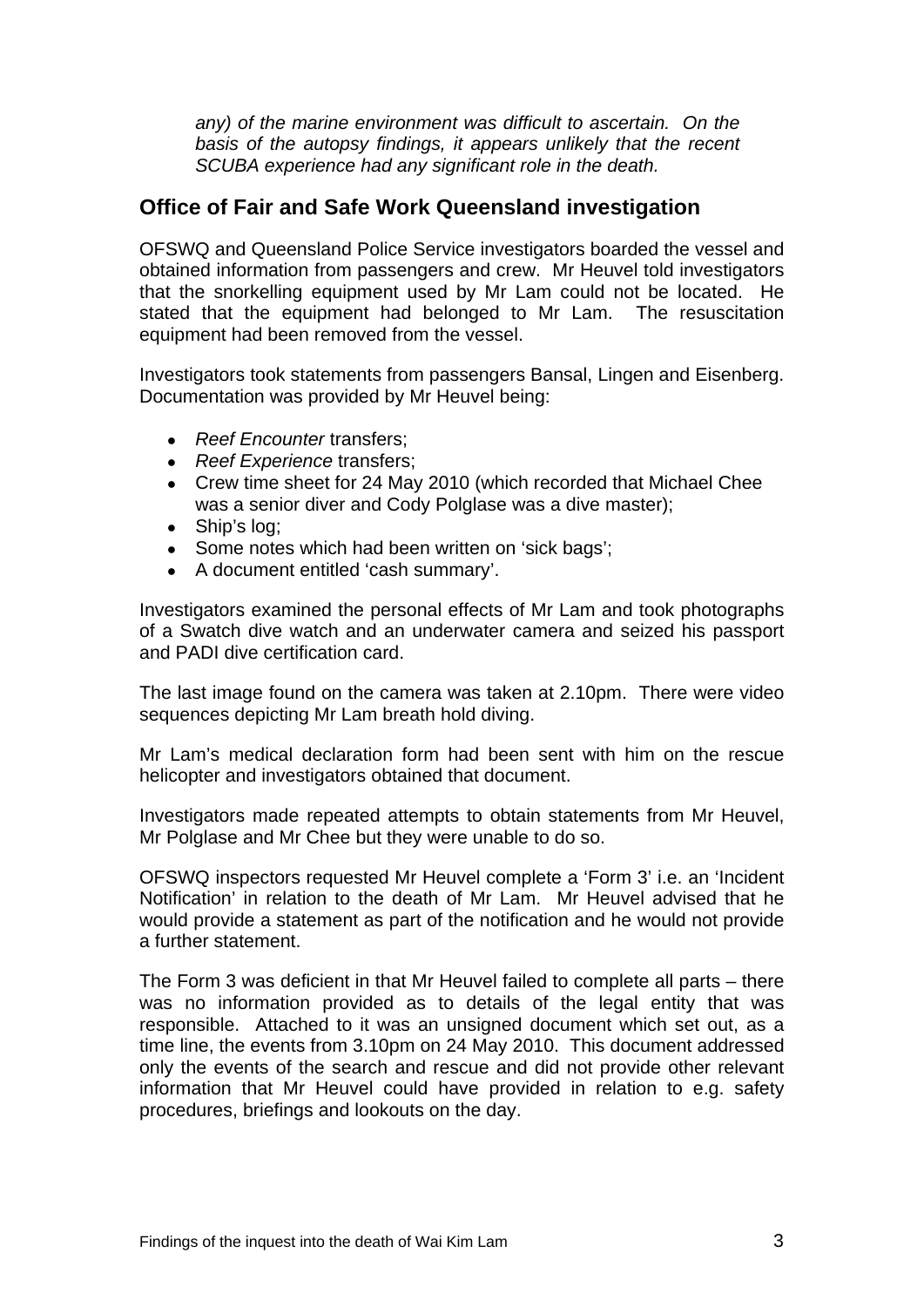*any) of the marine environment was difficult to ascertain. On the basis of the autopsy findings, it appears unlikely that the recent SCUBA experience had any significant role in the death.*

## **Office of Fair and Safe Work Queensland investigation**

OFSWQ and Queensland Police Service investigators boarded the vessel and obtained information from passengers and crew. Mr Heuvel told investigators that the snorkelling equipment used by Mr Lam could not be located. He stated that the equipment had belonged to Mr Lam. The resuscitation equipment had been removed from the vessel.

Investigators took statements from passengers Bansal, Lingen and Eisenberg. Documentation was provided by Mr Heuvel being:

- *Reef Encounter* transfers;
- *Reef Experience* transfers;
- Crew time sheet for 24 May 2010 (which recorded that Michael Chee was a senior diver and Cody Polglase was a dive master);
- Ship's log;
- Some notes which had been written on 'sick bags';
- A document entitled 'cash summary'.

Investigators examined the personal effects of Mr Lam and took photographs of a Swatch dive watch and an underwater camera and seized his passport and PADI dive certification card.

The last image found on the camera was taken at 2.10pm. There were video sequences depicting Mr Lam breath hold diving.

Mr Lam's medical declaration form had been sent with him on the rescue helicopter and investigators obtained that document.

Investigators made repeated attempts to obtain statements from Mr Heuvel, Mr Polglase and Mr Chee but they were unable to do so.

OFSWQ inspectors requested Mr Heuvel complete a 'Form 3' i.e. an 'Incident Notification' in relation to the death of Mr Lam. Mr Heuvel advised that he would provide a statement as part of the notification and he would not provide a further statement.

The Form 3 was deficient in that Mr Heuvel failed to complete all parts – there was no information provided as to details of the legal entity that was responsible. Attached to it was an unsigned document which set out, as a time line, the events from 3.10pm on 24 May 2010. This document addressed only the events of the search and rescue and did not provide other relevant information that Mr Heuvel could have provided in relation to e.g. safety procedures, briefings and lookouts on the day.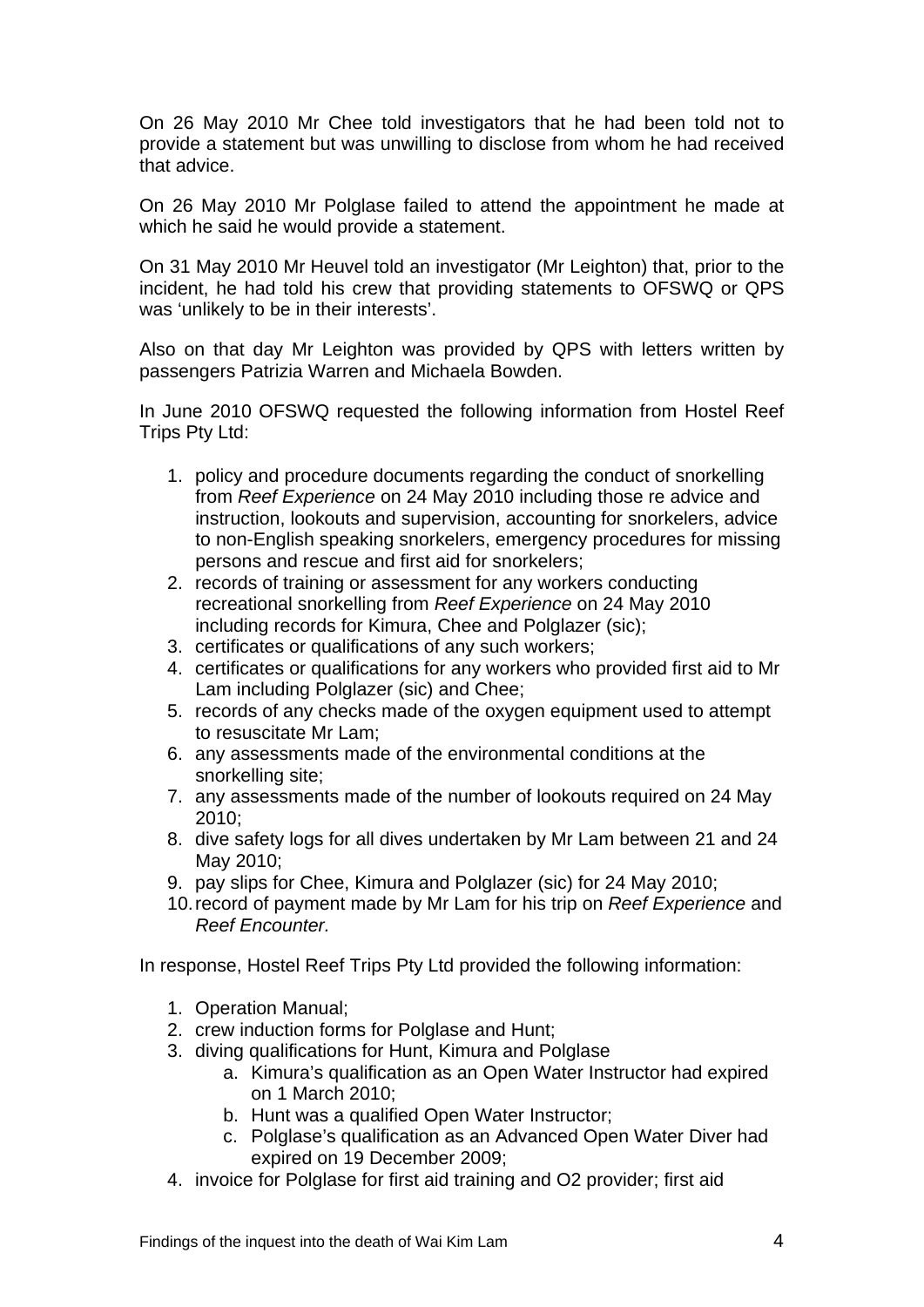On 26 May 2010 Mr Chee told investigators that he had been told not to provide a statement but was unwilling to disclose from whom he had received that advice.

On 26 May 2010 Mr Polglase failed to attend the appointment he made at which he said he would provide a statement.

On 31 May 2010 Mr Heuvel told an investigator (Mr Leighton) that, prior to the incident, he had told his crew that providing statements to OFSWQ or QPS was 'unlikely to be in their interests'.

Also on that day Mr Leighton was provided by QPS with letters written by passengers Patrizia Warren and Michaela Bowden.

In June 2010 OFSWQ requested the following information from Hostel Reef Trips Pty Ltd:

- 1. policy and procedure documents regarding the conduct of snorkelling from *Reef Experience* on 24 May 2010 including those re advice and instruction, lookouts and supervision, accounting for snorkelers, advice to non-English speaking snorkelers, emergency procedures for missing persons and rescue and first aid for snorkelers;
- 2. records of training or assessment for any workers conducting recreational snorkelling from *Reef Experience* on 24 May 2010 including records for Kimura, Chee and Polglazer (sic);
- 3. certificates or qualifications of any such workers;
- 4. certificates or qualifications for any workers who provided first aid to Mr Lam including Polglazer (sic) and Chee;
- 5. records of any checks made of the oxygen equipment used to attempt to resuscitate Mr Lam;
- 6. any assessments made of the environmental conditions at the snorkelling site;
- 7. any assessments made of the number of lookouts required on 24 May 2010;
- 8. dive safety logs for all dives undertaken by Mr Lam between 21 and 24 May 2010;
- 9. pay slips for Chee, Kimura and Polglazer (sic) for 24 May 2010;
- 10. record of payment made by Mr Lam for his trip on *Reef Experience* and *Reef Encounter.*

In response, Hostel Reef Trips Pty Ltd provided the following information:

- 1. Operation Manual;
- 2. crew induction forms for Polglase and Hunt;
- 3. diving qualifications for Hunt, Kimura and Polglase
	- a. Kimura's qualification as an Open Water Instructor had expired on 1 March 2010;
	- b. Hunt was a qualified Open Water Instructor;
	- c. Polglase's qualification as an Advanced Open Water Diver had expired on 19 December 2009;
- 4. invoice for Polglase for first aid training and O2 provider; first aid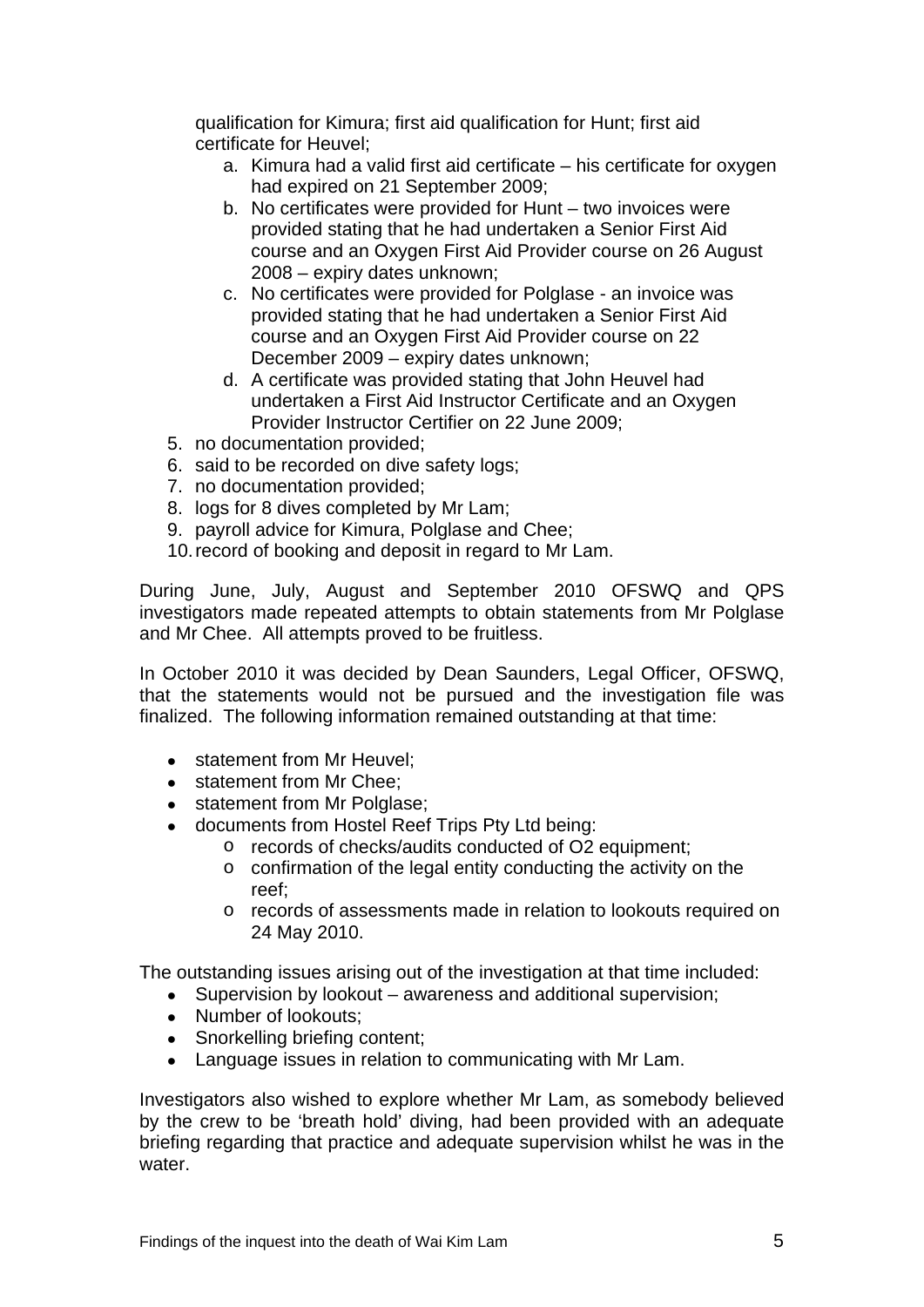qualification for Kimura; first aid qualification for Hunt; first aid certificate for Heuvel;

- a. Kimura had a valid first aid certificate his certificate for oxygen had expired on 21 September 2009;
- b. No certificates were provided for Hunt two invoices were provided stating that he had undertaken a Senior First Aid course and an Oxygen First Aid Provider course on 26 August 2008 – expiry dates unknown;
- c. No certificates were provided for Polglase an invoice was provided stating that he had undertaken a Senior First Aid course and an Oxygen First Aid Provider course on 22 December 2009 – expiry dates unknown;
- d. A certificate was provided stating that John Heuvel had undertaken a First Aid Instructor Certificate and an Oxygen Provider Instructor Certifier on 22 June 2009;
- 5. no documentation provided;
- 6. said to be recorded on dive safety logs;
- 7. no documentation provided;
- 8. logs for 8 dives completed by Mr Lam;
- 9. payroll advice for Kimura, Polglase and Chee;
- 10. record of booking and deposit in regard to Mr Lam.

During June, July, August and September 2010 OFSWQ and QPS investigators made repeated attempts to obtain statements from Mr Polglase and Mr Chee. All attempts proved to be fruitless.

In October 2010 it was decided by Dean Saunders, Legal Officer, OFSWQ, that the statements would not be pursued and the investigation file was finalized. The following information remained outstanding at that time:

- statement from Mr Heuvel:
- statement from Mr Chee:
- statement from Mr Polglase;
- documents from Hostel Reef Trips Pty Ltd being:
	- o records of checks/audits conducted of O2 equipment;
	- o confirmation of the legal entity conducting the activity on the reef;
	- o records of assessments made in relation to lookouts required on 24 May 2010.

The outstanding issues arising out of the investigation at that time included:

- Supervision by lookout awareness and additional supervision;
- Number of lookouts:
- Snorkelling briefing content;
- Language issues in relation to communicating with Mr Lam.

Investigators also wished to explore whether Mr Lam, as somebody believed by the crew to be 'breath hold' diving, had been provided with an adequate briefing regarding that practice and adequate supervision whilst he was in the water.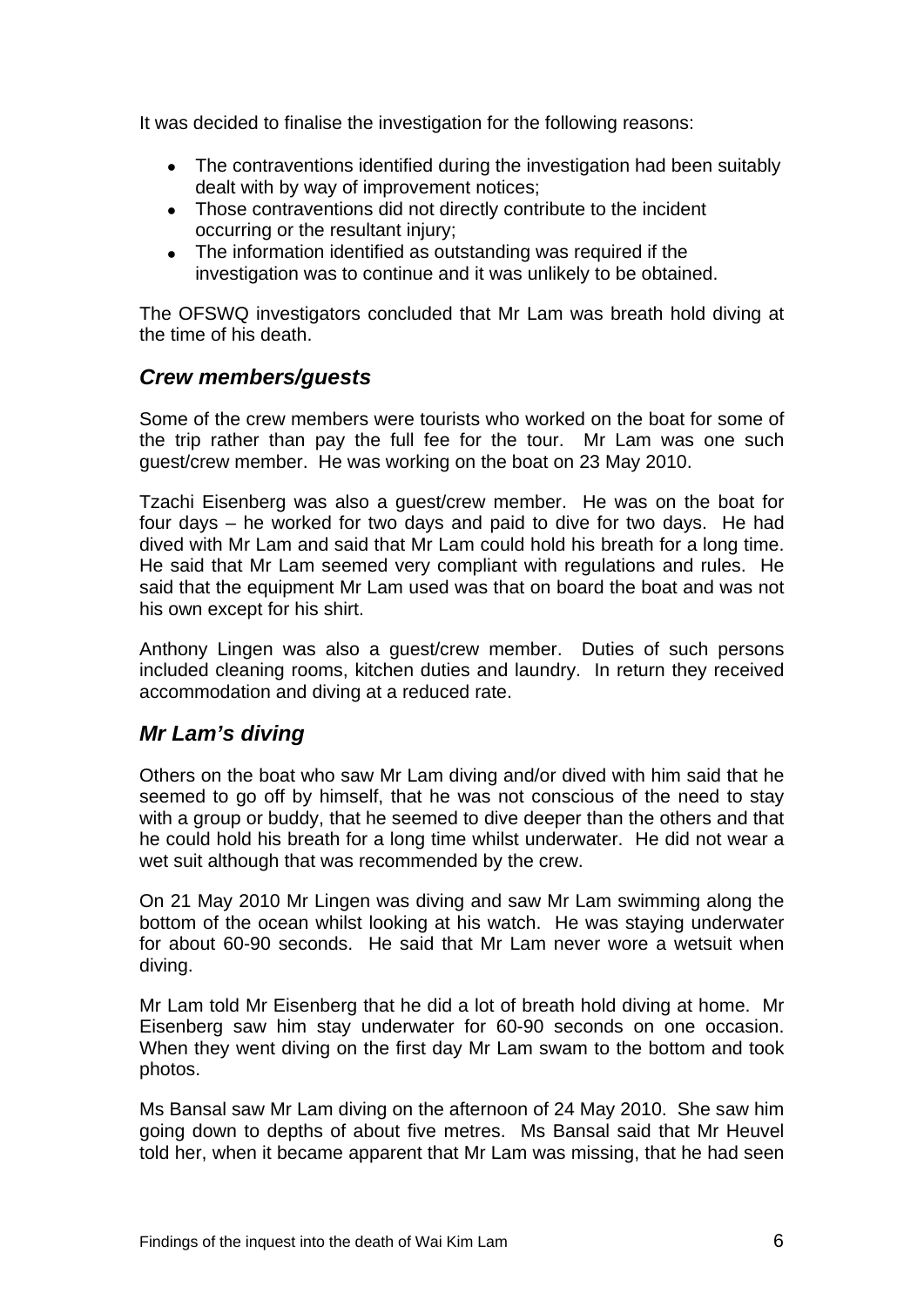It was decided to finalise the investigation for the following reasons:

- The contraventions identified during the investigation had been suitably dealt with by way of improvement notices;
- Those contraventions did not directly contribute to the incident occurring or the resultant injury;
- The information identified as outstanding was required if the investigation was to continue and it was unlikely to be obtained.

The OFSWQ investigators concluded that Mr Lam was breath hold diving at the time of his death.

### *Crew members/guests*

Some of the crew members were tourists who worked on the boat for some of the trip rather than pay the full fee for the tour. Mr Lam was one such guest/crew member. He was working on the boat on 23 May 2010.

Tzachi Eisenberg was also a guest/crew member. He was on the boat for four days – he worked for two days and paid to dive for two days. He had dived with Mr Lam and said that Mr Lam could hold his breath for a long time. He said that Mr Lam seemed very compliant with regulations and rules. He said that the equipment Mr Lam used was that on board the boat and was not his own except for his shirt.

Anthony Lingen was also a guest/crew member. Duties of such persons included cleaning rooms, kitchen duties and laundry. In return they received accommodation and diving at a reduced rate.

# *Mr Lam's diving*

Others on the boat who saw Mr Lam diving and/or dived with him said that he seemed to go off by himself, that he was not conscious of the need to stay with a group or buddy, that he seemed to dive deeper than the others and that he could hold his breath for a long time whilst underwater. He did not wear a wet suit although that was recommended by the crew.

On 21 May 2010 Mr Lingen was diving and saw Mr Lam swimming along the bottom of the ocean whilst looking at his watch. He was staying underwater for about 60-90 seconds. He said that Mr Lam never wore a wetsuit when diving.

Mr Lam told Mr Eisenberg that he did a lot of breath hold diving at home. Mr Eisenberg saw him stay underwater for 60-90 seconds on one occasion. When they went diving on the first day Mr Lam swam to the bottom and took photos.

Ms Bansal saw Mr Lam diving on the afternoon of 24 May 2010. She saw him going down to depths of about five metres. Ms Bansal said that Mr Heuvel told her, when it became apparent that Mr Lam was missing, that he had seen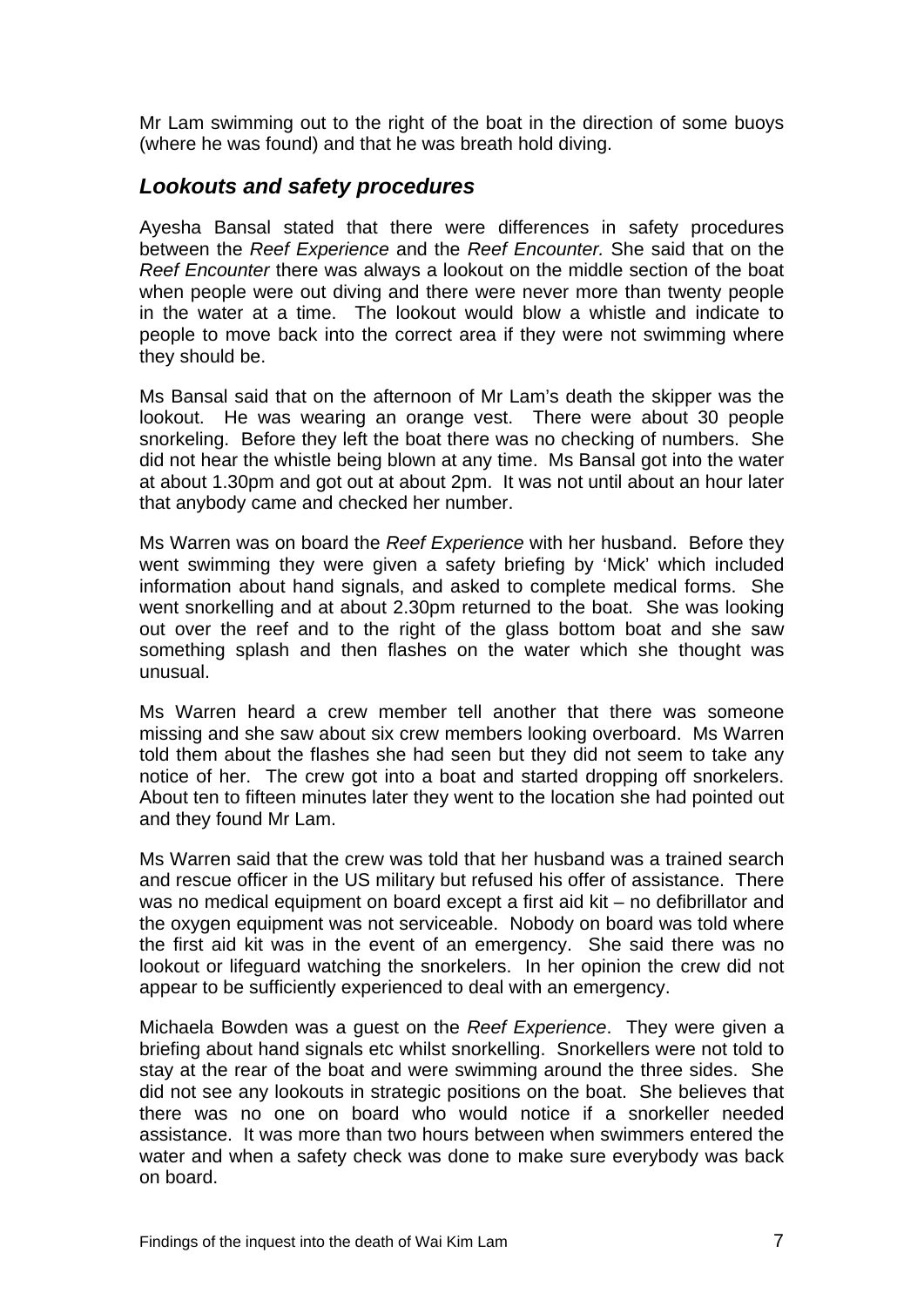Mr Lam swimming out to the right of the boat in the direction of some buoys (where he was found) and that he was breath hold diving.

#### *Lookouts and safety procedures*

Ayesha Bansal stated that there were differences in safety procedures between the *Reef Experience* and the *Reef Encounter.* She said that on the *Reef Encounter* there was always a lookout on the middle section of the boat when people were out diving and there were never more than twenty people in the water at a time. The lookout would blow a whistle and indicate to people to move back into the correct area if they were not swimming where they should be.

Ms Bansal said that on the afternoon of Mr Lam's death the skipper was the lookout. He was wearing an orange vest. There were about 30 people snorkeling. Before they left the boat there was no checking of numbers. She did not hear the whistle being blown at any time. Ms Bansal got into the water at about 1.30pm and got out at about 2pm. It was not until about an hour later that anybody came and checked her number.

Ms Warren was on board the *Reef Experience* with her husband. Before they went swimming they were given a safety briefing by 'Mick' which included information about hand signals, and asked to complete medical forms. She went snorkelling and at about 2.30pm returned to the boat. She was looking out over the reef and to the right of the glass bottom boat and she saw something splash and then flashes on the water which she thought was unusual.

Ms Warren heard a crew member tell another that there was someone missing and she saw about six crew members looking overboard. Ms Warren told them about the flashes she had seen but they did not seem to take any notice of her. The crew got into a boat and started dropping off snorkelers. About ten to fifteen minutes later they went to the location she had pointed out and they found Mr Lam.

Ms Warren said that the crew was told that her husband was a trained search and rescue officer in the US military but refused his offer of assistance. There was no medical equipment on board except a first aid kit – no defibrillator and the oxygen equipment was not serviceable. Nobody on board was told where the first aid kit was in the event of an emergency. She said there was no lookout or lifeguard watching the snorkelers. In her opinion the crew did not appear to be sufficiently experienced to deal with an emergency.

Michaela Bowden was a guest on the *Reef Experience*. They were given a briefing about hand signals etc whilst snorkelling. Snorkellers were not told to stay at the rear of the boat and were swimming around the three sides. She did not see any lookouts in strategic positions on the boat. She believes that there was no one on board who would notice if a snorkeller needed assistance. It was more than two hours between when swimmers entered the water and when a safety check was done to make sure everybody was back on board.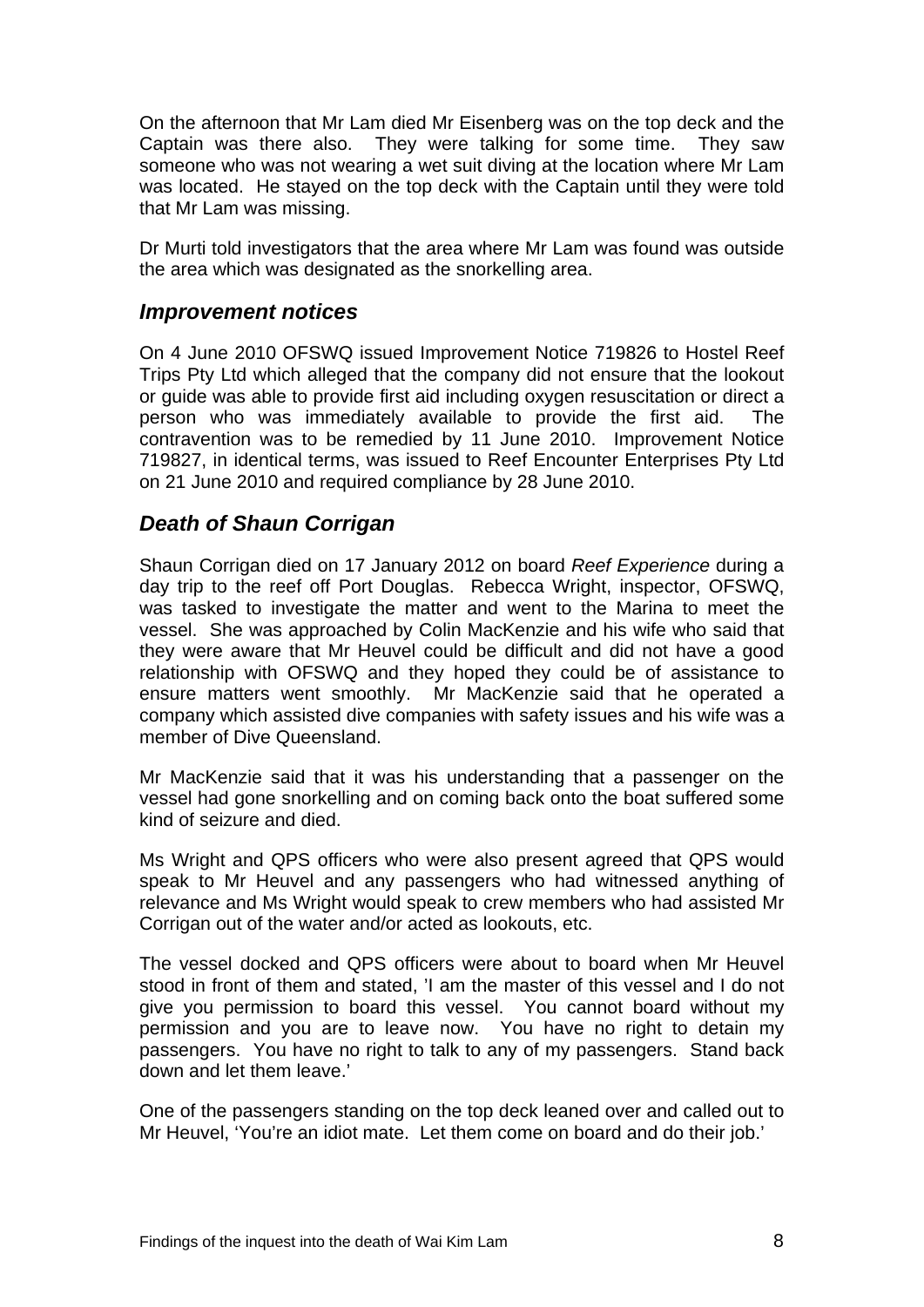On the afternoon that Mr Lam died Mr Eisenberg was on the top deck and the Captain was there also. They were talking for some time. They saw someone who was not wearing a wet suit diving at the location where Mr Lam was located. He stayed on the top deck with the Captain until they were told that Mr Lam was missing.

Dr Murti told investigators that the area where Mr Lam was found was outside the area which was designated as the snorkelling area.

#### *Improvement notices*

On 4 June 2010 OFSWQ issued Improvement Notice 719826 to Hostel Reef Trips Pty Ltd which alleged that the company did not ensure that the lookout or guide was able to provide first aid including oxygen resuscitation or direct a person who was immediately available to provide the first aid. The contravention was to be remedied by 11 June 2010. Improvement Notice 719827, in identical terms, was issued to Reef Encounter Enterprises Pty Ltd on 21 June 2010 and required compliance by 28 June 2010.

### *Death of Shaun Corrigan*

Shaun Corrigan died on 17 January 2012 on board *Reef Experience* during a day trip to the reef off Port Douglas. Rebecca Wright, inspector, OFSWQ, was tasked to investigate the matter and went to the Marina to meet the vessel. She was approached by Colin MacKenzie and his wife who said that they were aware that Mr Heuvel could be difficult and did not have a good relationship with OFSWQ and they hoped they could be of assistance to ensure matters went smoothly. Mr MacKenzie said that he operated a company which assisted dive companies with safety issues and his wife was a member of Dive Queensland.

Mr MacKenzie said that it was his understanding that a passenger on the vessel had gone snorkelling and on coming back onto the boat suffered some kind of seizure and died.

Ms Wright and QPS officers who were also present agreed that QPS would speak to Mr Heuvel and any passengers who had witnessed anything of relevance and Ms Wright would speak to crew members who had assisted Mr Corrigan out of the water and/or acted as lookouts, etc.

The vessel docked and QPS officers were about to board when Mr Heuvel stood in front of them and stated, 'I am the master of this vessel and I do not give you permission to board this vessel. You cannot board without my permission and you are to leave now. You have no right to detain my passengers. You have no right to talk to any of my passengers. Stand back down and let them leave.'

One of the passengers standing on the top deck leaned over and called out to Mr Heuvel, 'You're an idiot mate. Let them come on board and do their job.'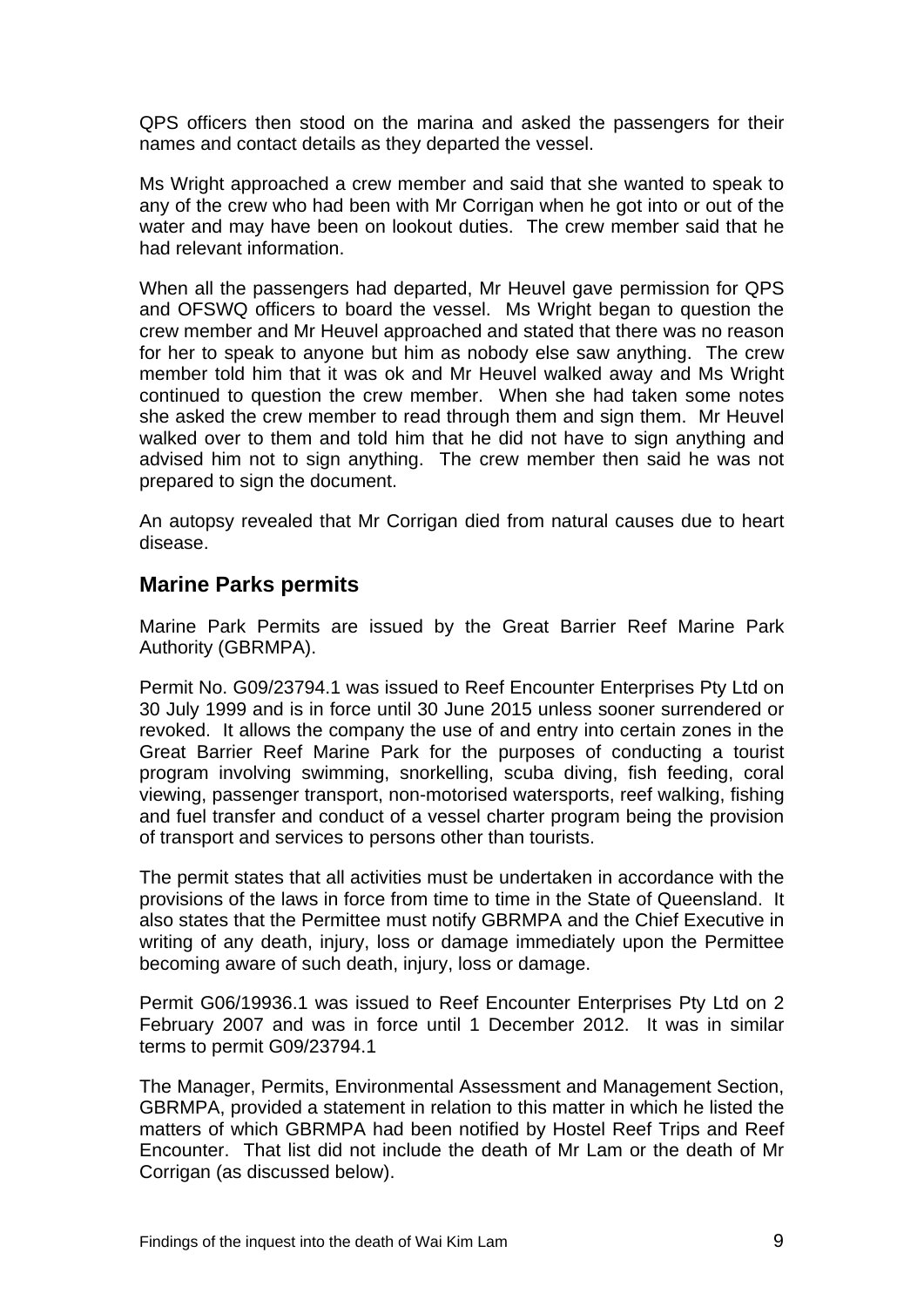QPS officers then stood on the marina and asked the passengers for their names and contact details as they departed the vessel.

Ms Wright approached a crew member and said that she wanted to speak to any of the crew who had been with Mr Corrigan when he got into or out of the water and may have been on lookout duties. The crew member said that he had relevant information.

When all the passengers had departed, Mr Heuvel gave permission for QPS and OFSWQ officers to board the vessel. Ms Wright began to question the crew member and Mr Heuvel approached and stated that there was no reason for her to speak to anyone but him as nobody else saw anything. The crew member told him that it was ok and Mr Heuvel walked away and Ms Wright continued to question the crew member. When she had taken some notes she asked the crew member to read through them and sign them. Mr Heuvel walked over to them and told him that he did not have to sign anything and advised him not to sign anything. The crew member then said he was not prepared to sign the document.

An autopsy revealed that Mr Corrigan died from natural causes due to heart disease.

### **Marine Parks permits**

Marine Park Permits are issued by the Great Barrier Reef Marine Park Authority (GBRMPA).

Permit No. G09/23794.1 was issued to Reef Encounter Enterprises Pty Ltd on 30 July 1999 and is in force until 30 June 2015 unless sooner surrendered or revoked. It allows the company the use of and entry into certain zones in the Great Barrier Reef Marine Park for the purposes of conducting a tourist program involving swimming, snorkelling, scuba diving, fish feeding, coral viewing, passenger transport, non-motorised watersports, reef walking, fishing and fuel transfer and conduct of a vessel charter program being the provision of transport and services to persons other than tourists.

The permit states that all activities must be undertaken in accordance with the provisions of the laws in force from time to time in the State of Queensland. It also states that the Permittee must notify GBRMPA and the Chief Executive in writing of any death, injury, loss or damage immediately upon the Permittee becoming aware of such death, injury, loss or damage.

Permit G06/19936.1 was issued to Reef Encounter Enterprises Pty Ltd on 2 February 2007 and was in force until 1 December 2012. It was in similar terms to permit G09/23794.1

The Manager, Permits, Environmental Assessment and Management Section, GBRMPA, provided a statement in relation to this matter in which he listed the matters of which GBRMPA had been notified by Hostel Reef Trips and Reef Encounter. That list did not include the death of Mr Lam or the death of Mr Corrigan (as discussed below).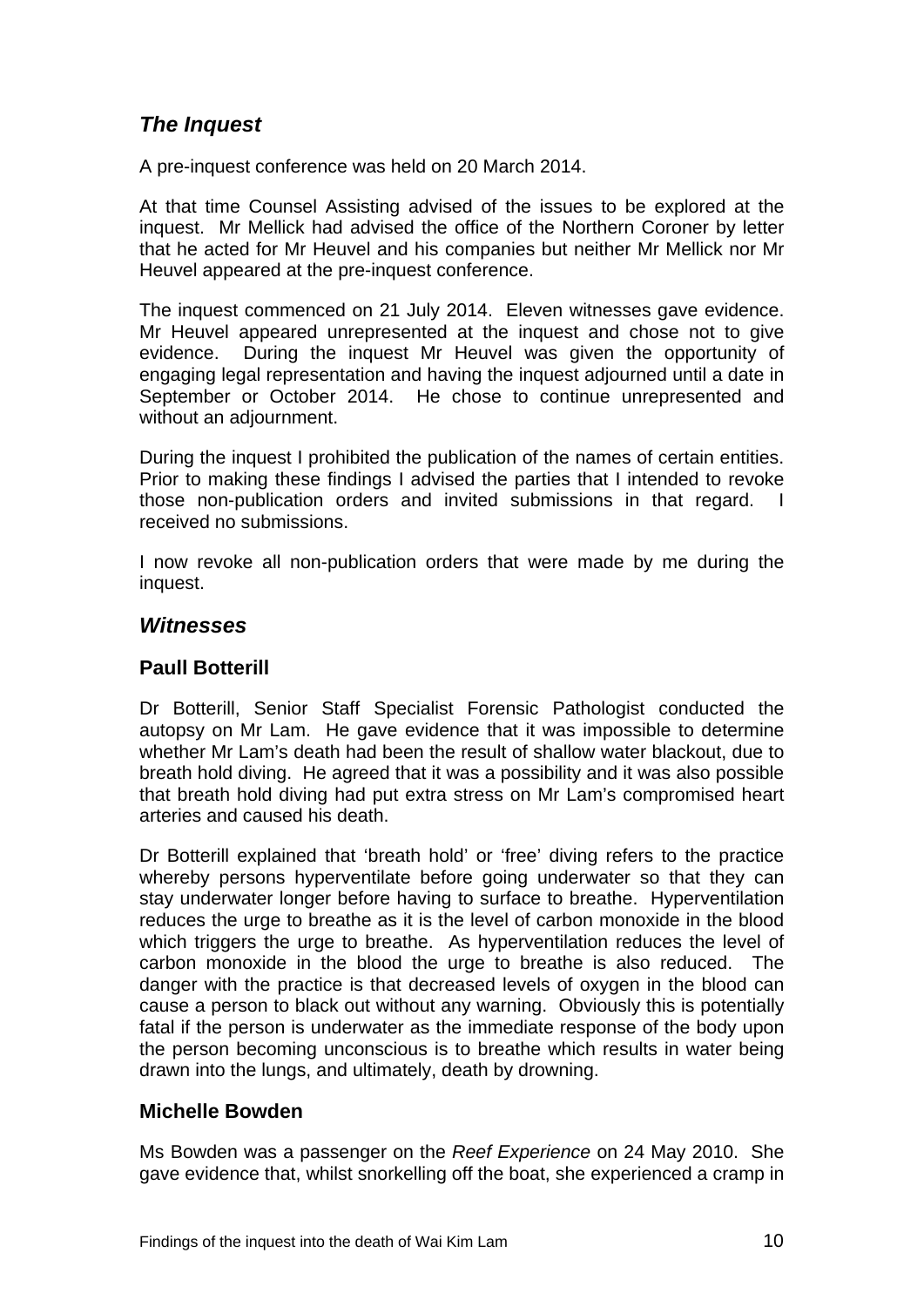# *The Inquest*

A pre-inquest conference was held on 20 March 2014.

At that time Counsel Assisting advised of the issues to be explored at the inquest. Mr Mellick had advised the office of the Northern Coroner by letter that he acted for Mr Heuvel and his companies but neither Mr Mellick nor Mr Heuvel appeared at the pre-inquest conference.

The inquest commenced on 21 July 2014. Eleven witnesses gave evidence. Mr Heuvel appeared unrepresented at the inquest and chose not to give evidence. During the inquest Mr Heuvel was given the opportunity of engaging legal representation and having the inquest adjourned until a date in September or October 2014. He chose to continue unrepresented and without an adjournment.

During the inquest I prohibited the publication of the names of certain entities. Prior to making these findings I advised the parties that I intended to revoke those non-publication orders and invited submissions in that regard. I received no submissions.

I now revoke all non-publication orders that were made by me during the inquest.

### *Witnesses*

# **Paull Botterill**

Dr Botterill, Senior Staff Specialist Forensic Pathologist conducted the autopsy on Mr Lam. He gave evidence that it was impossible to determine whether Mr Lam's death had been the result of shallow water blackout, due to breath hold diving. He agreed that it was a possibility and it was also possible that breath hold diving had put extra stress on Mr Lam's compromised heart arteries and caused his death.

Dr Botterill explained that 'breath hold' or 'free' diving refers to the practice whereby persons hyperventilate before going underwater so that they can stay underwater longer before having to surface to breathe. Hyperventilation reduces the urge to breathe as it is the level of carbon monoxide in the blood which triggers the urge to breathe. As hyperventilation reduces the level of carbon monoxide in the blood the urge to breathe is also reduced. The danger with the practice is that decreased levels of oxygen in the blood can cause a person to black out without any warning. Obviously this is potentially fatal if the person is underwater as the immediate response of the body upon the person becoming unconscious is to breathe which results in water being drawn into the lungs, and ultimately, death by drowning.

#### **Michelle Bowden**

Ms Bowden was a passenger on the *Reef Experience* on 24 May 2010. She gave evidence that, whilst snorkelling off the boat, she experienced a cramp in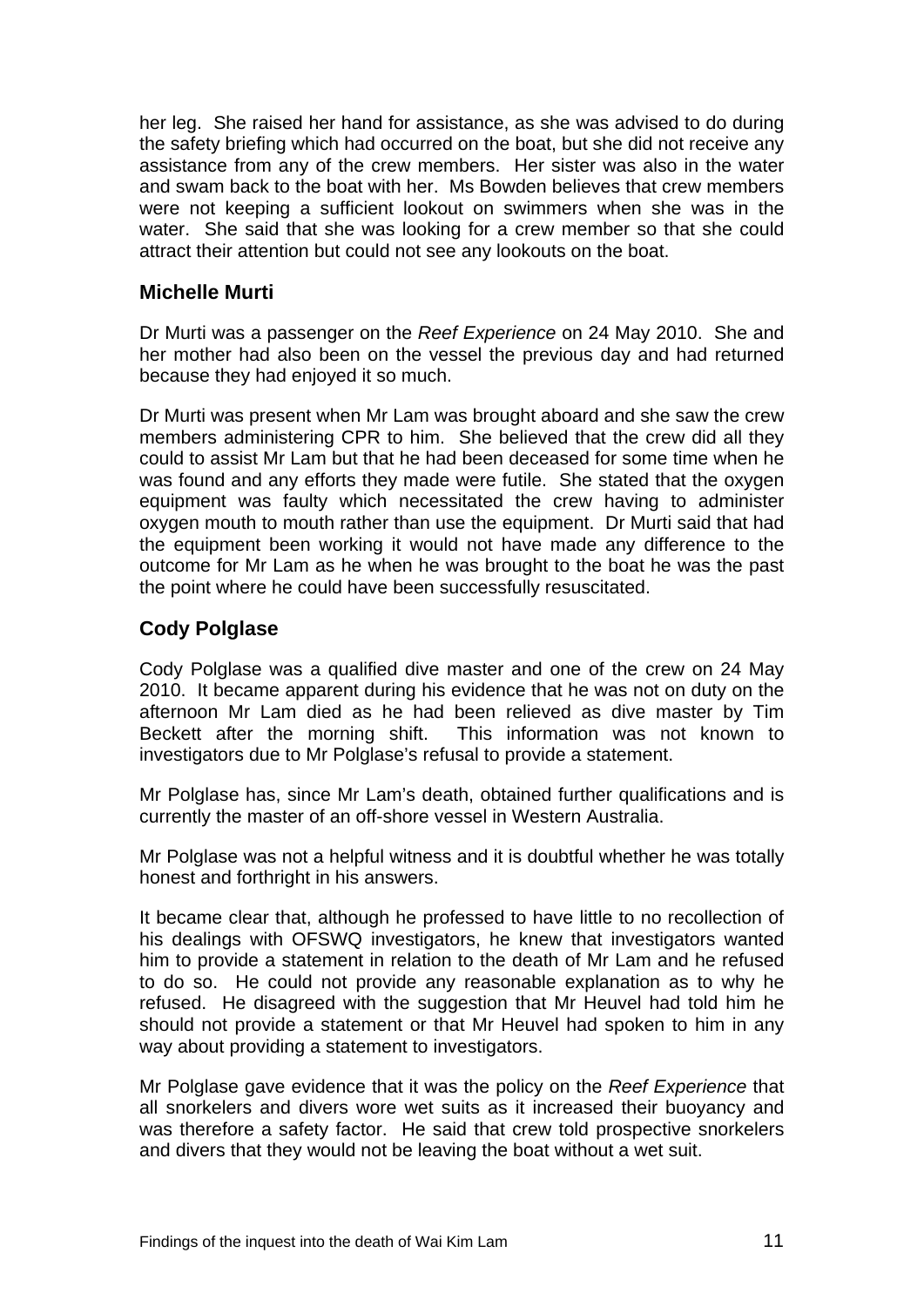her leg. She raised her hand for assistance, as she was advised to do during the safety briefing which had occurred on the boat, but she did not receive any assistance from any of the crew members. Her sister was also in the water and swam back to the boat with her. Ms Bowden believes that crew members were not keeping a sufficient lookout on swimmers when she was in the water. She said that she was looking for a crew member so that she could attract their attention but could not see any lookouts on the boat.

### **Michelle Murti**

Dr Murti was a passenger on the *Reef Experience* on 24 May 2010. She and her mother had also been on the vessel the previous day and had returned because they had enjoyed it so much.

Dr Murti was present when Mr Lam was brought aboard and she saw the crew members administering CPR to him. She believed that the crew did all they could to assist Mr Lam but that he had been deceased for some time when he was found and any efforts they made were futile. She stated that the oxygen equipment was faulty which necessitated the crew having to administer oxygen mouth to mouth rather than use the equipment. Dr Murti said that had the equipment been working it would not have made any difference to the outcome for Mr Lam as he when he was brought to the boat he was the past the point where he could have been successfully resuscitated.

### **Cody Polglase**

Cody Polglase was a qualified dive master and one of the crew on 24 May 2010. It became apparent during his evidence that he was not on duty on the afternoon Mr Lam died as he had been relieved as dive master by Tim Beckett after the morning shift. This information was not known to investigators due to Mr Polglase's refusal to provide a statement.

Mr Polglase has, since Mr Lam's death, obtained further qualifications and is currently the master of an off-shore vessel in Western Australia.

Mr Polglase was not a helpful witness and it is doubtful whether he was totally honest and forthright in his answers.

It became clear that, although he professed to have little to no recollection of his dealings with OFSWQ investigators, he knew that investigators wanted him to provide a statement in relation to the death of Mr Lam and he refused to do so. He could not provide any reasonable explanation as to why he refused. He disagreed with the suggestion that Mr Heuvel had told him he should not provide a statement or that Mr Heuvel had spoken to him in any way about providing a statement to investigators.

Mr Polglase gave evidence that it was the policy on the *Reef Experience* that all snorkelers and divers wore wet suits as it increased their buoyancy and was therefore a safety factor. He said that crew told prospective snorkelers and divers that they would not be leaving the boat without a wet suit.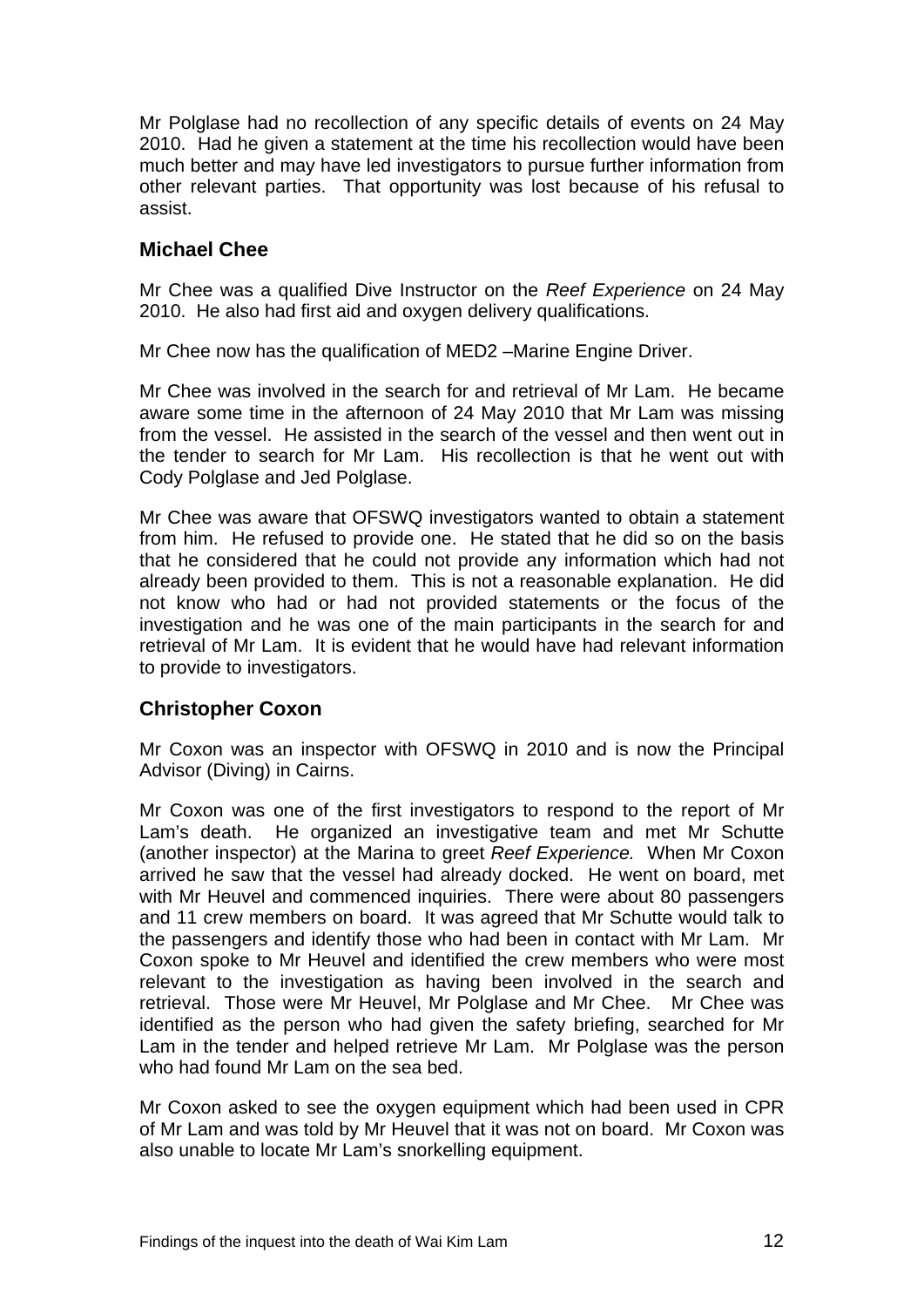Mr Polglase had no recollection of any specific details of events on 24 May 2010. Had he given a statement at the time his recollection would have been much better and may have led investigators to pursue further information from other relevant parties. That opportunity was lost because of his refusal to assist.

#### **Michael Chee**

Mr Chee was a qualified Dive Instructor on the *Reef Experience* on 24 May 2010. He also had first aid and oxygen delivery qualifications.

Mr Chee now has the qualification of MED2 –Marine Engine Driver.

Mr Chee was involved in the search for and retrieval of Mr Lam. He became aware some time in the afternoon of 24 May 2010 that Mr Lam was missing from the vessel. He assisted in the search of the vessel and then went out in the tender to search for Mr Lam. His recollection is that he went out with Cody Polglase and Jed Polglase.

Mr Chee was aware that OFSWQ investigators wanted to obtain a statement from him. He refused to provide one. He stated that he did so on the basis that he considered that he could not provide any information which had not already been provided to them. This is not a reasonable explanation. He did not know who had or had not provided statements or the focus of the investigation and he was one of the main participants in the search for and retrieval of Mr Lam. It is evident that he would have had relevant information to provide to investigators.

#### **Christopher Coxon**

Mr Coxon was an inspector with OFSWQ in 2010 and is now the Principal Advisor (Diving) in Cairns.

Mr Coxon was one of the first investigators to respond to the report of Mr Lam's death. He organized an investigative team and met Mr Schutte (another inspector) at the Marina to greet *Reef Experience.* When Mr Coxon arrived he saw that the vessel had already docked. He went on board, met with Mr Heuvel and commenced inquiries. There were about 80 passengers and 11 crew members on board. It was agreed that Mr Schutte would talk to the passengers and identify those who had been in contact with Mr Lam. Mr Coxon spoke to Mr Heuvel and identified the crew members who were most relevant to the investigation as having been involved in the search and retrieval. Those were Mr Heuvel, Mr Polglase and Mr Chee. Mr Chee was identified as the person who had given the safety briefing, searched for Mr Lam in the tender and helped retrieve Mr Lam. Mr Polglase was the person who had found Mr Lam on the sea bed.

Mr Coxon asked to see the oxygen equipment which had been used in CPR of Mr Lam and was told by Mr Heuvel that it was not on board. Mr Coxon was also unable to locate Mr Lam's snorkelling equipment.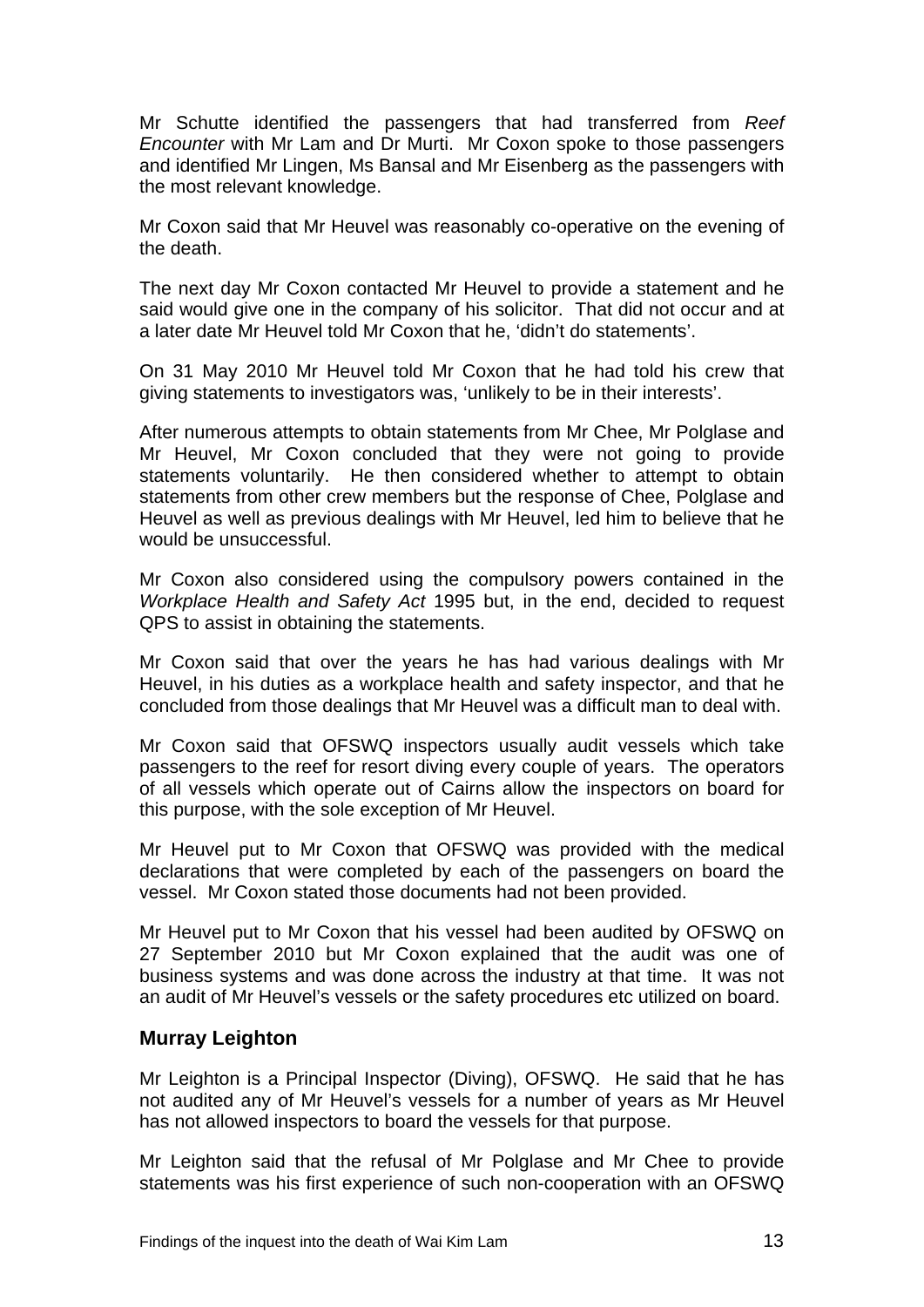Mr Schutte identified the passengers that had transferred from *Reef Encounter* with Mr Lam and Dr Murti. Mr Coxon spoke to those passengers and identified Mr Lingen, Ms Bansal and Mr Eisenberg as the passengers with the most relevant knowledge.

Mr Coxon said that Mr Heuvel was reasonably co-operative on the evening of the death.

The next day Mr Coxon contacted Mr Heuvel to provide a statement and he said would give one in the company of his solicitor. That did not occur and at a later date Mr Heuvel told Mr Coxon that he, 'didn't do statements'.

On 31 May 2010 Mr Heuvel told Mr Coxon that he had told his crew that giving statements to investigators was, 'unlikely to be in their interests'.

After numerous attempts to obtain statements from Mr Chee, Mr Polglase and Mr Heuvel, Mr Coxon concluded that they were not going to provide statements voluntarily. He then considered whether to attempt to obtain statements from other crew members but the response of Chee, Polglase and Heuvel as well as previous dealings with Mr Heuvel, led him to believe that he would be unsuccessful.

Mr Coxon also considered using the compulsory powers contained in the *Workplace Health and Safety Act* 1995 but, in the end, decided to request QPS to assist in obtaining the statements.

Mr Coxon said that over the years he has had various dealings with Mr Heuvel, in his duties as a workplace health and safety inspector, and that he concluded from those dealings that Mr Heuvel was a difficult man to deal with.

Mr Coxon said that OFSWQ inspectors usually audit vessels which take passengers to the reef for resort diving every couple of years. The operators of all vessels which operate out of Cairns allow the inspectors on board for this purpose, with the sole exception of Mr Heuvel.

Mr Heuvel put to Mr Coxon that OFSWQ was provided with the medical declarations that were completed by each of the passengers on board the vessel. Mr Coxon stated those documents had not been provided.

Mr Heuvel put to Mr Coxon that his vessel had been audited by OFSWQ on 27 September 2010 but Mr Coxon explained that the audit was one of business systems and was done across the industry at that time. It was not an audit of Mr Heuvel's vessels or the safety procedures etc utilized on board.

#### **Murray Leighton**

Mr Leighton is a Principal Inspector (Diving), OFSWQ. He said that he has not audited any of Mr Heuvel's vessels for a number of years as Mr Heuvel has not allowed inspectors to board the vessels for that purpose.

Mr Leighton said that the refusal of Mr Polglase and Mr Chee to provide statements was his first experience of such non-cooperation with an OFSWQ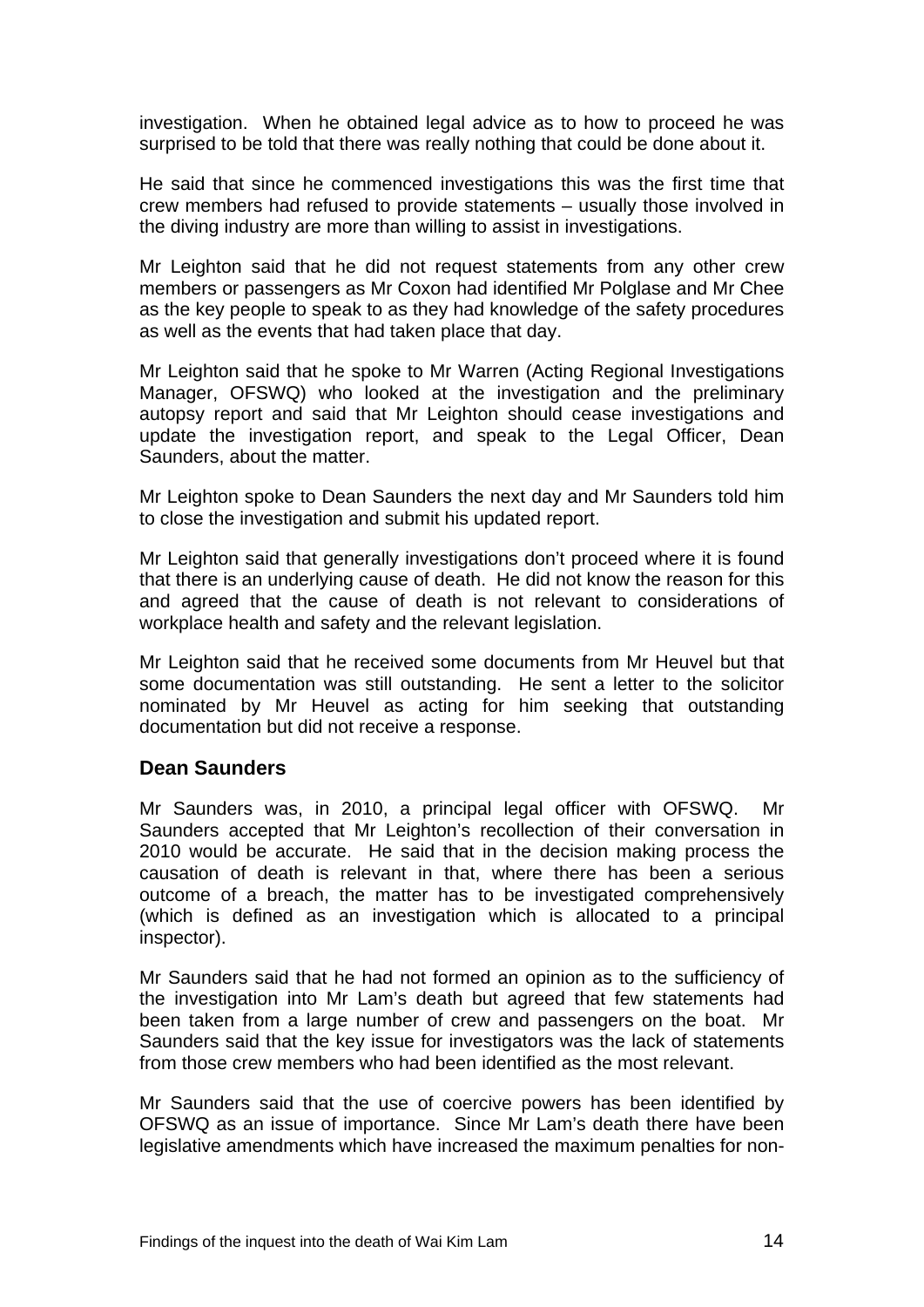investigation. When he obtained legal advice as to how to proceed he was surprised to be told that there was really nothing that could be done about it.

He said that since he commenced investigations this was the first time that crew members had refused to provide statements – usually those involved in the diving industry are more than willing to assist in investigations.

Mr Leighton said that he did not request statements from any other crew members or passengers as Mr Coxon had identified Mr Polglase and Mr Chee as the key people to speak to as they had knowledge of the safety procedures as well as the events that had taken place that day.

Mr Leighton said that he spoke to Mr Warren (Acting Regional Investigations Manager, OFSWQ) who looked at the investigation and the preliminary autopsy report and said that Mr Leighton should cease investigations and update the investigation report, and speak to the Legal Officer, Dean Saunders, about the matter.

Mr Leighton spoke to Dean Saunders the next day and Mr Saunders told him to close the investigation and submit his updated report.

Mr Leighton said that generally investigations don't proceed where it is found that there is an underlying cause of death. He did not know the reason for this and agreed that the cause of death is not relevant to considerations of workplace health and safety and the relevant legislation.

Mr Leighton said that he received some documents from Mr Heuvel but that some documentation was still outstanding. He sent a letter to the solicitor nominated by Mr Heuvel as acting for him seeking that outstanding documentation but did not receive a response.

#### **Dean Saunders**

Mr Saunders was, in 2010, a principal legal officer with OFSWQ. Mr Saunders accepted that Mr Leighton's recollection of their conversation in 2010 would be accurate. He said that in the decision making process the causation of death is relevant in that, where there has been a serious outcome of a breach, the matter has to be investigated comprehensively (which is defined as an investigation which is allocated to a principal inspector).

Mr Saunders said that he had not formed an opinion as to the sufficiency of the investigation into Mr Lam's death but agreed that few statements had been taken from a large number of crew and passengers on the boat. Mr Saunders said that the key issue for investigators was the lack of statements from those crew members who had been identified as the most relevant.

Mr Saunders said that the use of coercive powers has been identified by OFSWQ as an issue of importance. Since Mr Lam's death there have been legislative amendments which have increased the maximum penalties for non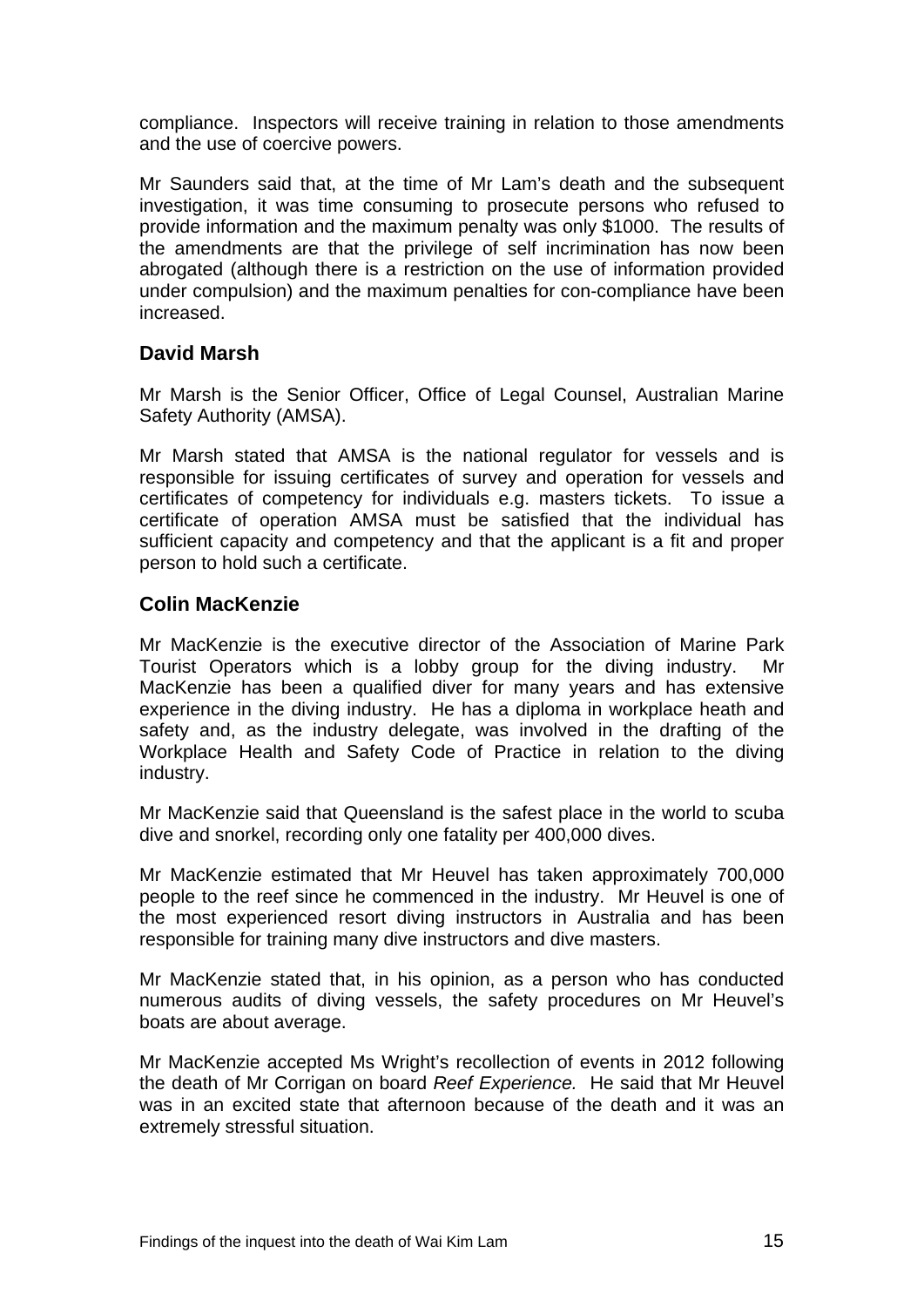compliance. Inspectors will receive training in relation to those amendments and the use of coercive powers.

Mr Saunders said that, at the time of Mr Lam's death and the subsequent investigation, it was time consuming to prosecute persons who refused to provide information and the maximum penalty was only \$1000. The results of the amendments are that the privilege of self incrimination has now been abrogated (although there is a restriction on the use of information provided under compulsion) and the maximum penalties for con-compliance have been increased.

#### **David Marsh**

Mr Marsh is the Senior Officer, Office of Legal Counsel, Australian Marine Safety Authority (AMSA).

Mr Marsh stated that AMSA is the national regulator for vessels and is responsible for issuing certificates of survey and operation for vessels and certificates of competency for individuals e.g. masters tickets. To issue a certificate of operation AMSA must be satisfied that the individual has sufficient capacity and competency and that the applicant is a fit and proper person to hold such a certificate.

#### **Colin MacKenzie**

Mr MacKenzie is the executive director of the Association of Marine Park Tourist Operators which is a lobby group for the diving industry. Mr MacKenzie has been a qualified diver for many years and has extensive experience in the diving industry. He has a diploma in workplace heath and safety and, as the industry delegate, was involved in the drafting of the Workplace Health and Safety Code of Practice in relation to the diving industry.

Mr MacKenzie said that Queensland is the safest place in the world to scuba dive and snorkel, recording only one fatality per 400,000 dives.

Mr MacKenzie estimated that Mr Heuvel has taken approximately 700,000 people to the reef since he commenced in the industry. Mr Heuvel is one of the most experienced resort diving instructors in Australia and has been responsible for training many dive instructors and dive masters.

Mr MacKenzie stated that, in his opinion, as a person who has conducted numerous audits of diving vessels, the safety procedures on Mr Heuvel's boats are about average.

Mr MacKenzie accepted Ms Wright's recollection of events in 2012 following the death of Mr Corrigan on board *Reef Experience.* He said that Mr Heuvel was in an excited state that afternoon because of the death and it was an extremely stressful situation.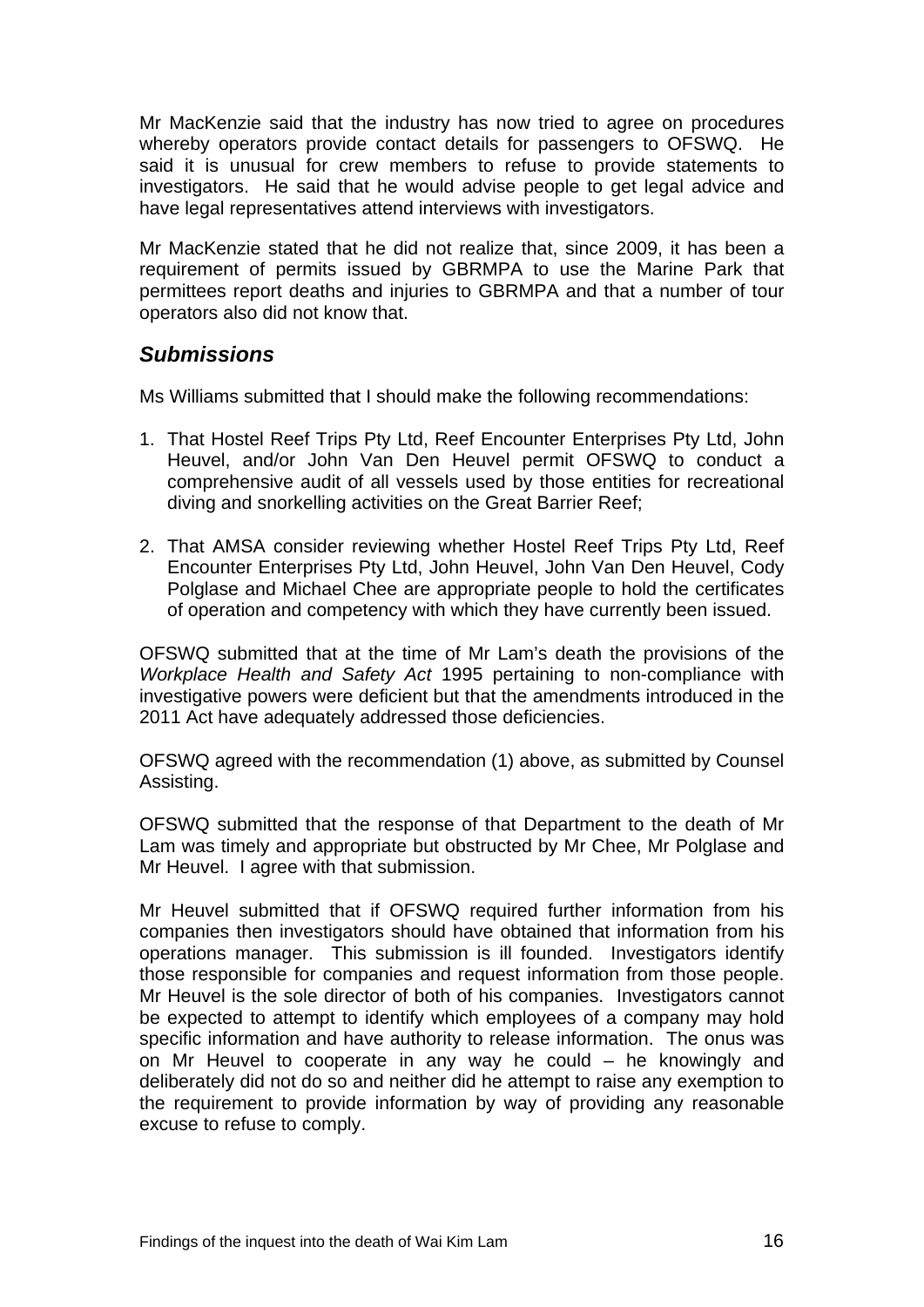Mr MacKenzie said that the industry has now tried to agree on procedures whereby operators provide contact details for passengers to OFSWQ. He said it is unusual for crew members to refuse to provide statements to investigators. He said that he would advise people to get legal advice and have legal representatives attend interviews with investigators.

Mr MacKenzie stated that he did not realize that, since 2009, it has been a requirement of permits issued by GBRMPA to use the Marine Park that permittees report deaths and injuries to GBRMPA and that a number of tour operators also did not know that.

# *Submissions*

Ms Williams submitted that I should make the following recommendations:

- 1. That Hostel Reef Trips Pty Ltd, Reef Encounter Enterprises Pty Ltd, John Heuvel, and/or John Van Den Heuvel permit OFSWQ to conduct a comprehensive audit of all vessels used by those entities for recreational diving and snorkelling activities on the Great Barrier Reef;
- 2. That AMSA consider reviewing whether Hostel Reef Trips Pty Ltd, Reef Encounter Enterprises Pty Ltd, John Heuvel, John Van Den Heuvel, Cody Polglase and Michael Chee are appropriate people to hold the certificates of operation and competency with which they have currently been issued.

OFSWQ submitted that at the time of Mr Lam's death the provisions of the *Workplace Health and Safety Act* 1995 pertaining to non-compliance with investigative powers were deficient but that the amendments introduced in the 2011 Act have adequately addressed those deficiencies.

OFSWQ agreed with the recommendation (1) above, as submitted by Counsel Assisting.

OFSWQ submitted that the response of that Department to the death of Mr Lam was timely and appropriate but obstructed by Mr Chee, Mr Polglase and Mr Heuvel. I agree with that submission.

Mr Heuvel submitted that if OFSWQ required further information from his companies then investigators should have obtained that information from his operations manager. This submission is ill founded. Investigators identify those responsible for companies and request information from those people. Mr Heuvel is the sole director of both of his companies. Investigators cannot be expected to attempt to identify which employees of a company may hold specific information and have authority to release information. The onus was on Mr Heuvel to cooperate in any way he could – he knowingly and deliberately did not do so and neither did he attempt to raise any exemption to the requirement to provide information by way of providing any reasonable excuse to refuse to comply.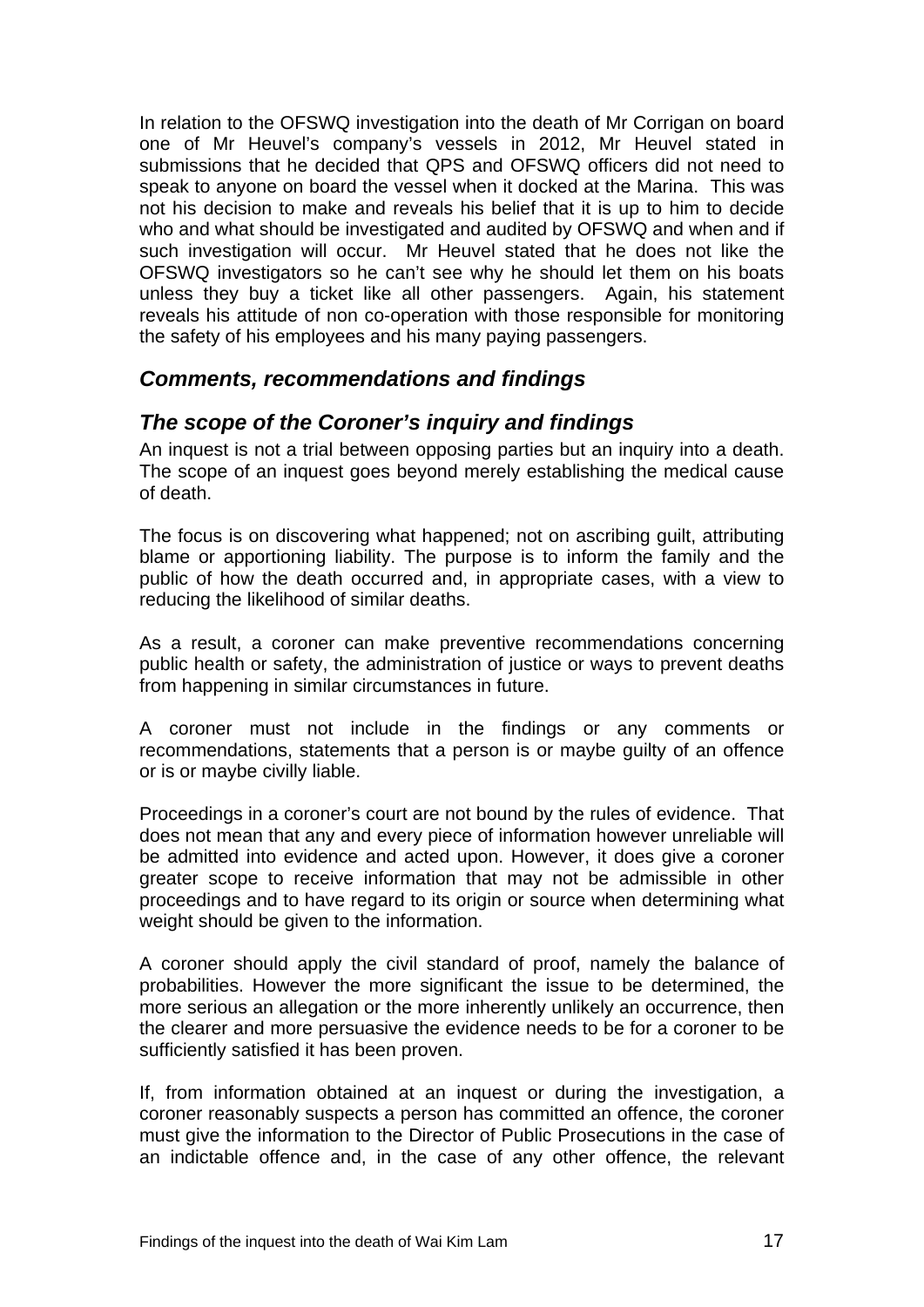In relation to the OFSWQ investigation into the death of Mr Corrigan on board one of Mr Heuvel's company's vessels in 2012, Mr Heuvel stated in submissions that he decided that QPS and OFSWQ officers did not need to speak to anyone on board the vessel when it docked at the Marina. This was not his decision to make and reveals his belief that it is up to him to decide who and what should be investigated and audited by OFSWQ and when and if such investigation will occur. Mr Heuvel stated that he does not like the OFSWQ investigators so he can't see why he should let them on his boats unless they buy a ticket like all other passengers. Again, his statement reveals his attitude of non co-operation with those responsible for monitoring the safety of his employees and his many paying passengers.

# *Comments, recommendations and findings*

# *The scope of the Coroner's inquiry and findings*

An inquest is not a trial between opposing parties but an inquiry into a death. The scope of an inquest goes beyond merely establishing the medical cause of death.

The focus is on discovering what happened; not on ascribing guilt, attributing blame or apportioning liability. The purpose is to inform the family and the public of how the death occurred and, in appropriate cases, with a view to reducing the likelihood of similar deaths.

As a result, a coroner can make preventive recommendations concerning public health or safety, the administration of justice or ways to prevent deaths from happening in similar circumstances in future.

A coroner must not include in the findings or any comments or recommendations, statements that a person is or maybe guilty of an offence or is or maybe civilly liable.

Proceedings in a coroner's court are not bound by the rules of evidence. That does not mean that any and every piece of information however unreliable will be admitted into evidence and acted upon. However, it does give a coroner greater scope to receive information that may not be admissible in other proceedings and to have regard to its origin or source when determining what weight should be given to the information.

A coroner should apply the civil standard of proof, namely the balance of probabilities. However the more significant the issue to be determined, the more serious an allegation or the more inherently unlikely an occurrence, then the clearer and more persuasive the evidence needs to be for a coroner to be sufficiently satisfied it has been proven.

If, from information obtained at an inquest or during the investigation, a coroner reasonably suspects a person has committed an offence, the coroner must give the information to the Director of Public Prosecutions in the case of an indictable offence and, in the case of any other offence, the relevant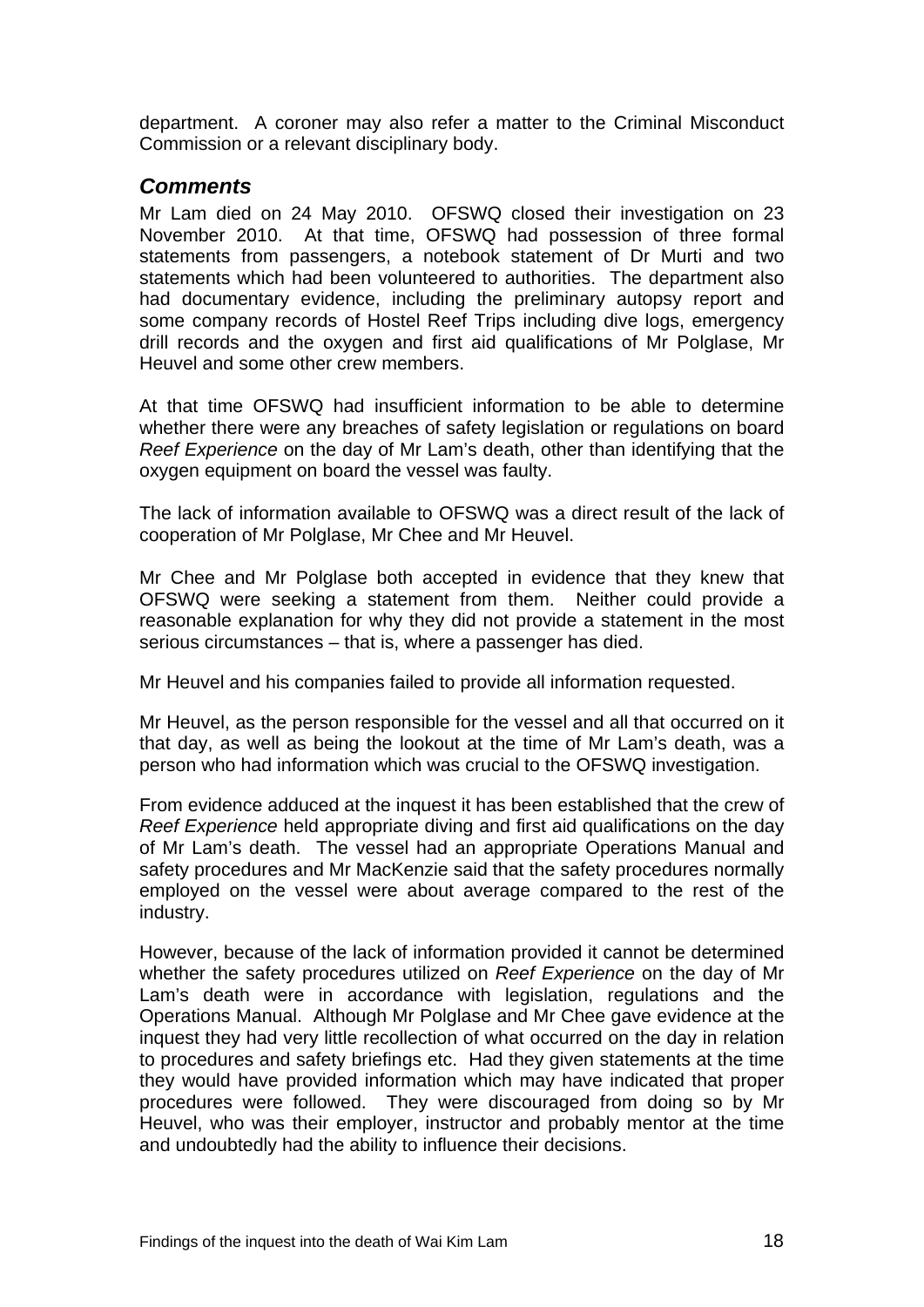department. A coroner may also refer a matter to the Criminal Misconduct Commission or a relevant disciplinary body.

### *Comments*

Mr Lam died on 24 May 2010. OFSWQ closed their investigation on 23 November 2010. At that time, OFSWQ had possession of three formal statements from passengers, a notebook statement of Dr Murti and two statements which had been volunteered to authorities. The department also had documentary evidence, including the preliminary autopsy report and some company records of Hostel Reef Trips including dive logs, emergency drill records and the oxygen and first aid qualifications of Mr Polglase, Mr Heuvel and some other crew members.

At that time OFSWQ had insufficient information to be able to determine whether there were any breaches of safety legislation or regulations on board *Reef Experience* on the day of Mr Lam's death, other than identifying that the oxygen equipment on board the vessel was faulty.

The lack of information available to OFSWQ was a direct result of the lack of cooperation of Mr Polglase, Mr Chee and Mr Heuvel.

Mr Chee and Mr Polglase both accepted in evidence that they knew that OFSWQ were seeking a statement from them. Neither could provide a reasonable explanation for why they did not provide a statement in the most serious circumstances – that is, where a passenger has died.

Mr Heuvel and his companies failed to provide all information requested.

Mr Heuvel, as the person responsible for the vessel and all that occurred on it that day, as well as being the lookout at the time of Mr Lam's death, was a person who had information which was crucial to the OFSWQ investigation.

From evidence adduced at the inquest it has been established that the crew of *Reef Experience* held appropriate diving and first aid qualifications on the day of Mr Lam's death. The vessel had an appropriate Operations Manual and safety procedures and Mr MacKenzie said that the safety procedures normally employed on the vessel were about average compared to the rest of the industry.

However, because of the lack of information provided it cannot be determined whether the safety procedures utilized on *Reef Experience* on the day of Mr Lam's death were in accordance with legislation, regulations and the Operations Manual. Although Mr Polglase and Mr Chee gave evidence at the inquest they had very little recollection of what occurred on the day in relation to procedures and safety briefings etc. Had they given statements at the time they would have provided information which may have indicated that proper procedures were followed. They were discouraged from doing so by Mr Heuvel, who was their employer, instructor and probably mentor at the time and undoubtedly had the ability to influence their decisions.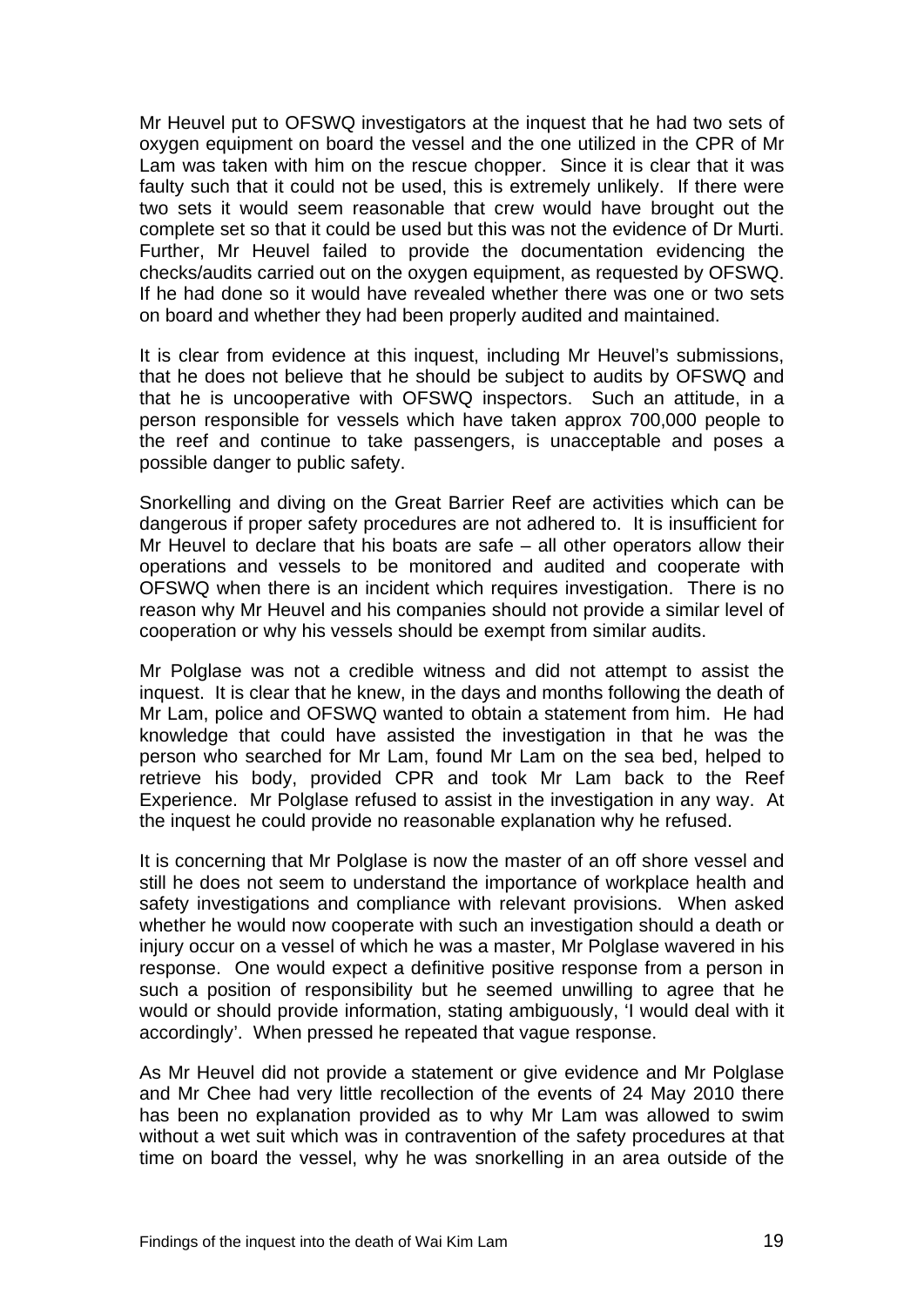Mr Heuvel put to OFSWQ investigators at the inquest that he had two sets of oxygen equipment on board the vessel and the one utilized in the CPR of Mr Lam was taken with him on the rescue chopper. Since it is clear that it was faulty such that it could not be used, this is extremely unlikely. If there were two sets it would seem reasonable that crew would have brought out the complete set so that it could be used but this was not the evidence of Dr Murti. Further, Mr Heuvel failed to provide the documentation evidencing the checks/audits carried out on the oxygen equipment, as requested by OFSWQ. If he had done so it would have revealed whether there was one or two sets on board and whether they had been properly audited and maintained.

It is clear from evidence at this inquest, including Mr Heuvel's submissions, that he does not believe that he should be subject to audits by OFSWQ and that he is uncooperative with OFSWQ inspectors. Such an attitude, in a person responsible for vessels which have taken approx 700,000 people to the reef and continue to take passengers, is unacceptable and poses a possible danger to public safety.

Snorkelling and diving on the Great Barrier Reef are activities which can be dangerous if proper safety procedures are not adhered to. It is insufficient for Mr Heuvel to declare that his boats are safe – all other operators allow their operations and vessels to be monitored and audited and cooperate with OFSWQ when there is an incident which requires investigation. There is no reason why Mr Heuvel and his companies should not provide a similar level of cooperation or why his vessels should be exempt from similar audits.

Mr Polglase was not a credible witness and did not attempt to assist the inquest. It is clear that he knew, in the days and months following the death of Mr Lam, police and OFSWQ wanted to obtain a statement from him. He had knowledge that could have assisted the investigation in that he was the person who searched for Mr Lam, found Mr Lam on the sea bed, helped to retrieve his body, provided CPR and took Mr Lam back to the Reef Experience. Mr Polglase refused to assist in the investigation in any way. At the inquest he could provide no reasonable explanation why he refused.

It is concerning that Mr Polglase is now the master of an off shore vessel and still he does not seem to understand the importance of workplace health and safety investigations and compliance with relevant provisions. When asked whether he would now cooperate with such an investigation should a death or injury occur on a vessel of which he was a master, Mr Polglase wavered in his response. One would expect a definitive positive response from a person in such a position of responsibility but he seemed unwilling to agree that he would or should provide information, stating ambiguously, 'I would deal with it accordingly'. When pressed he repeated that vague response.

As Mr Heuvel did not provide a statement or give evidence and Mr Polglase and Mr Chee had very little recollection of the events of 24 May 2010 there has been no explanation provided as to why Mr Lam was allowed to swim without a wet suit which was in contravention of the safety procedures at that time on board the vessel, why he was snorkelling in an area outside of the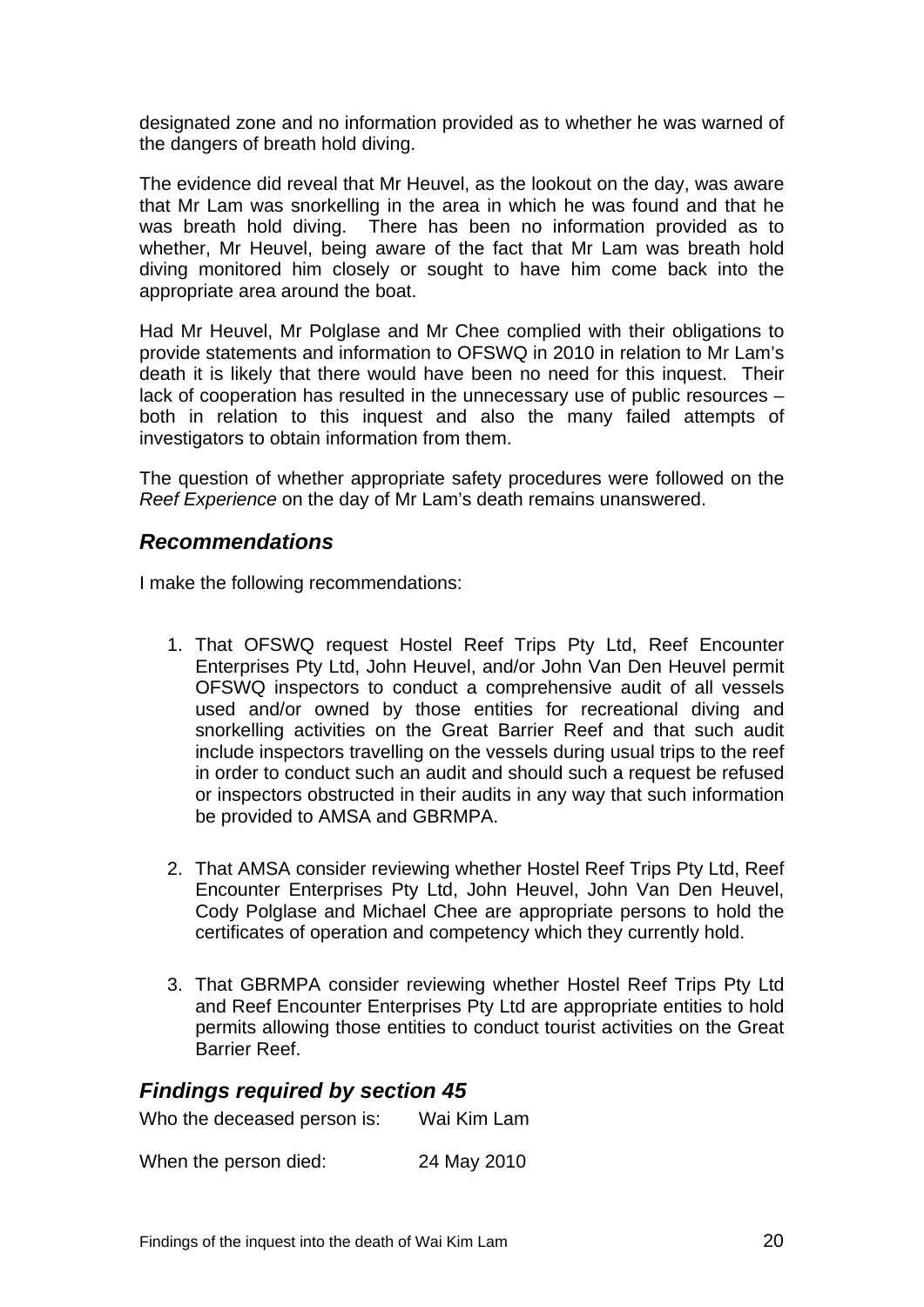designated zone and no information provided as to whether he was warned of the dangers of breath hold diving.

The evidence did reveal that Mr Heuvel, as the lookout on the day, was aware that Mr Lam was snorkelling in the area in which he was found and that he was breath hold diving. There has been no information provided as to whether, Mr Heuvel, being aware of the fact that Mr Lam was breath hold diving monitored him closely or sought to have him come back into the appropriate area around the boat.

Had Mr Heuvel, Mr Polglase and Mr Chee complied with their obligations to provide statements and information to OFSWQ in 2010 in relation to Mr Lam's death it is likely that there would have been no need for this inquest. Their lack of cooperation has resulted in the unnecessary use of public resources – both in relation to this inquest and also the many failed attempts of investigators to obtain information from them.

The question of whether appropriate safety procedures were followed on the *Reef Experience* on the day of Mr Lam's death remains unanswered.

#### *Recommendations*

I make the following recommendations:

- 1. That OFSWQ request Hostel Reef Trips Pty Ltd, Reef Encounter Enterprises Pty Ltd, John Heuvel, and/or John Van Den Heuvel permit OFSWQ inspectors to conduct a comprehensive audit of all vessels used and/or owned by those entities for recreational diving and snorkelling activities on the Great Barrier Reef and that such audit include inspectors travelling on the vessels during usual trips to the reef in order to conduct such an audit and should such a request be refused or inspectors obstructed in their audits in any way that such information be provided to AMSA and GBRMPA.
- 2. That AMSA consider reviewing whether Hostel Reef Trips Pty Ltd, Reef Encounter Enterprises Pty Ltd, John Heuvel, John Van Den Heuvel, Cody Polglase and Michael Chee are appropriate persons to hold the certificates of operation and competency which they currently hold.
- 3. That GBRMPA consider reviewing whether Hostel Reef Trips Pty Ltd and Reef Encounter Enterprises Pty Ltd are appropriate entities to hold permits allowing those entities to conduct tourist activities on the Great Barrier Reef.

#### *Findings required by section 45*

| Who the deceased person is: | Wai Kim Lam |
|-----------------------------|-------------|
| When the person died:       | 24 May 2010 |